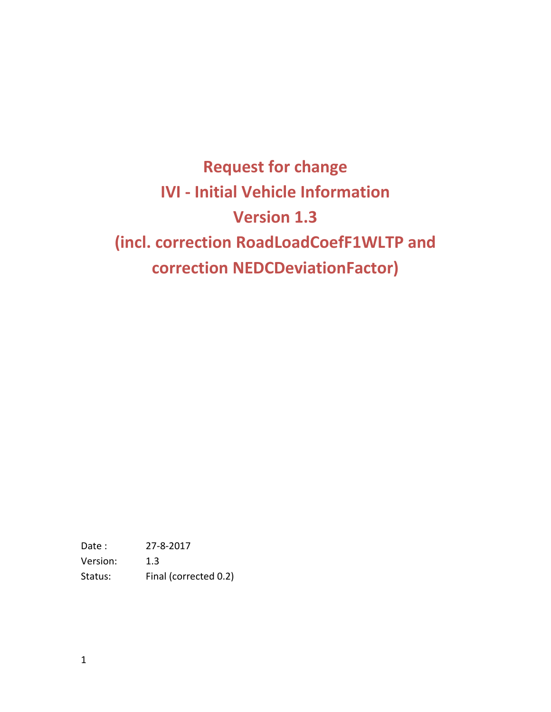**Request for change IVI - Initial Vehicle Information Version 1.3 (incl. correction RoadLoadCoefF1WLTP and correction NEDCDeviationFactor)**

Date : 27-8-2017 Version: 1.3 Status: Final (corrected 0.2)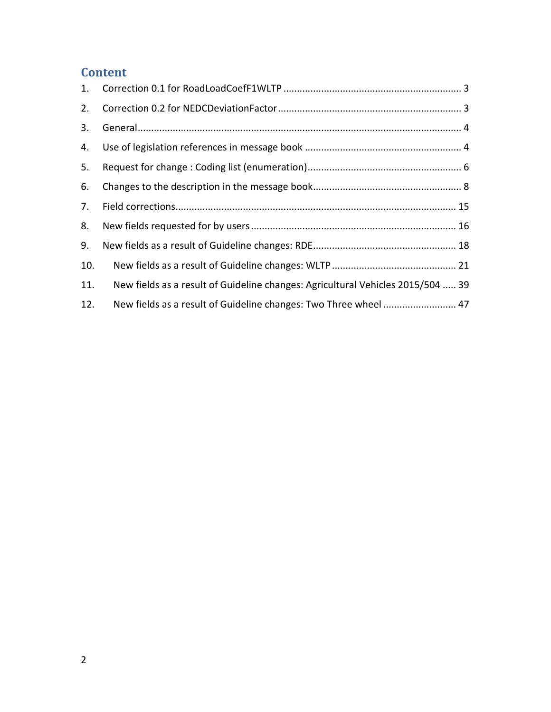# **Content**

| 2.  |                                                                                 |
|-----|---------------------------------------------------------------------------------|
| 3.  |                                                                                 |
| 4.  |                                                                                 |
| 5.  |                                                                                 |
| 6.  |                                                                                 |
| 7.  |                                                                                 |
| 8.  |                                                                                 |
| 9.  |                                                                                 |
| 10. |                                                                                 |
| 11. | New fields as a result of Guideline changes: Agricultural Vehicles 2015/504  39 |
| 12. | New fields as a result of Guideline changes: Two Three wheel  47                |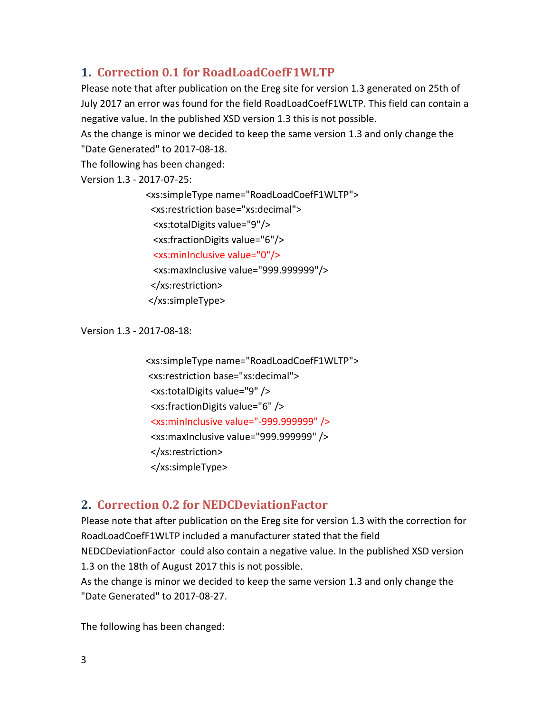# <span id="page-2-0"></span>**1. Correction 0.1 for RoadLoadCoefF1WLTP**

Please note that after publication on the Ereg site for version 1.3 generated on 25th of July 2017 an error was found for the field RoadLoadCoefF1WLTP. This field can contain a negative value. In the published XSD version 1.3 this is not possible.

As the change is minor we decided to keep the same version 1.3 and only change the "Date Generated" to 2017-08-18.

The following has been changed:

Version 1.3 - 2017-07-25:

<xs:simpleType name="RoadLoadCoefF1WLTP"> <xs:restriction base="xs:decimal"> <xs:totalDigits value="9"/> <xs:fractionDigits value="6"/> <xs:minInclusive value="0"/> <xs:maxInclusive value="999.999999"/> </xs:restriction> </xs:simpleType>

Version 1.3 - 2017-08-18:

<xs:simpleType name="RoadLoadCoefF1WLTP"> <xs:restriction base="xs:decimal"> <xs:totalDigits value="9" /> <xs:fractionDigits value="6" /> <xs:minInclusive value="-999.999999" /> <xs:maxInclusive value="999.999999" /> </xs:restriction> </xs:simpleType>

# <span id="page-2-1"></span>**2. Correction 0.2 for NEDCDeviationFactor**

Please note that after publication on the Ereg site for version 1.3 with the correction for RoadLoadCoefF1WLTP included a manufacturer stated that the field NEDCDeviationFactor could also contain a negative value. In the published XSD version 1.3 on the 18th of August 2017 this is not possible.

As the change is minor we decided to keep the same version 1.3 and only change the "Date Generated" to 2017-08-27.

The following has been changed: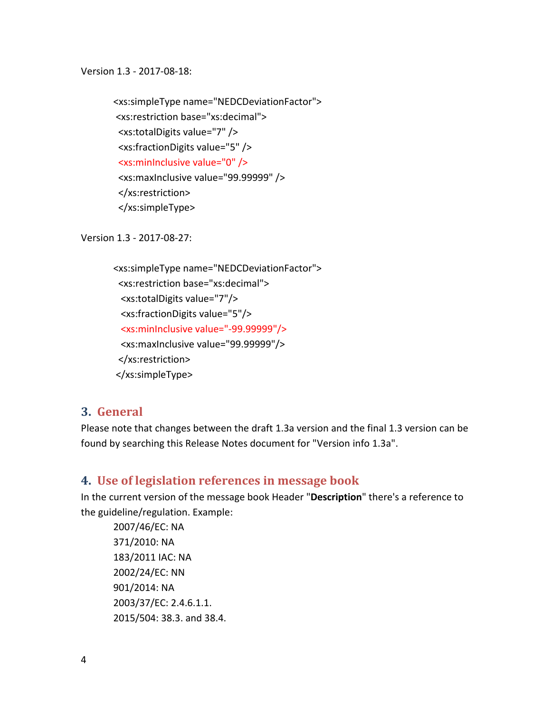Version 1.3 - 2017-08-18:

<xs:simpleType name="NEDCDeviationFactor"> <xs:restriction base="xs:decimal"> <xs:totalDigits value="7" /> <xs:fractionDigits value="5" /> <xs:minInclusive value="0" /> <xs:maxInclusive value="99.99999" /> </xs:restriction> </xs:simpleType>

Version 1.3 - 2017-08-27:

```
<xs:simpleType name="NEDCDeviationFactor">
  <xs:restriction base="xs:decimal">
  <xs:totalDigits value="7"/>
  <xs:fractionDigits value="5"/>
  <xs:minInclusive value="-99.99999"/>
  <xs:maxInclusive value="99.99999"/>
  </xs:restriction>
</xs:simpleType>
```
### <span id="page-3-0"></span>**3. General**

Please note that changes between the draft 1.3a version and the final 1.3 version can be found by searching this Release Notes document for "Version info 1.3a".

### <span id="page-3-1"></span>**4. Use of legislation references in message book**

In the current version of the message book Header "**Description**" there's a reference to the guideline/regulation. Example:

2007/46/EC: NA 371/2010: NA 183/2011 IAC: NA 2002/24/EC: NN 901/2014: NA 2003/37/EC: 2.4.6.1.1. 2015/504: 38.3. and 38.4.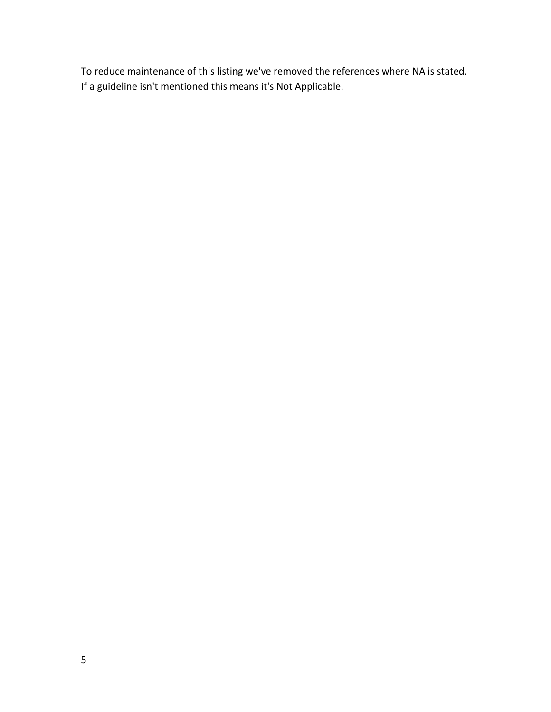To reduce maintenance of this listing we've removed the references where NA is stated. If a guideline isn't mentioned this means it's Not Applicable.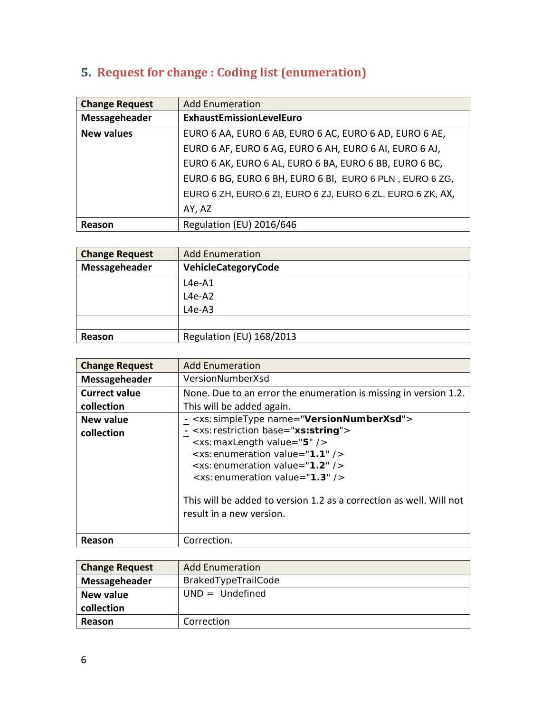<span id="page-5-0"></span>

|  |  |  |  | 5. Request for change : Coding list (enumeration) |  |
|--|--|--|--|---------------------------------------------------|--|
|--|--|--|--|---------------------------------------------------|--|

| <b>Change Request</b> | <b>Add Enumeration</b>                                     |
|-----------------------|------------------------------------------------------------|
| Messageheader         | ExhaustEmissionLevelEuro                                   |
| <b>New values</b>     | EURO 6 AA, EURO 6 AB, EURO 6 AC, EURO 6 AD, EURO 6 AE,     |
|                       | EURO 6 AF, EURO 6 AG, EURO 6 AH, EURO 6 AI, EURO 6 AJ,     |
|                       | EURO 6 AK, EURO 6 AL, EURO 6 BA, EURO 6 BB, EURO 6 BC,     |
|                       | EURO 6 BG, EURO 6 BH, EURO 6 BI, EURO 6 PLN, EURO 6 ZG,    |
|                       | EURO 6 ZH, EURO 6 ZI, EURO 6 ZJ, EURO 6 ZL, EURO 6 ZK, AX, |
|                       | AY, AZ                                                     |
| Reason                | Regulation (EU) 2016/646                                   |

| <b>Change Request</b> | <b>Add Enumeration</b>   |
|-----------------------|--------------------------|
| Messageheader         | VehicleCategoryCode      |
|                       | L4e-A1                   |
|                       | $L4e-A2$                 |
|                       | $L4e-AB$                 |
|                       |                          |
| Reason                | Regulation (EU) 168/2013 |

| <b>Change Request</b>   | <b>Add Enumeration</b>                                                                                                                                                                                                                                                                                                                                                                                              |
|-------------------------|---------------------------------------------------------------------------------------------------------------------------------------------------------------------------------------------------------------------------------------------------------------------------------------------------------------------------------------------------------------------------------------------------------------------|
| Messageheader           | VersionNumberXsd                                                                                                                                                                                                                                                                                                                                                                                                    |
| <b>Currect value</b>    | None. Due to an error the enumeration is missing in version 1.2.                                                                                                                                                                                                                                                                                                                                                    |
| collection              | This will be added again.                                                                                                                                                                                                                                                                                                                                                                                           |
| New value<br>collection | - <xs: name="VersionNumberXsd" simpletype=""><br/><xs: base="xs:string" restriction=""><br/><xs: maxlength="" value="5"></xs:><br/><math>\leq</math>xs: enumeration value="1.1" /&gt;<br/><math>\leq</math>xs: enumeration value="1.2" /&gt;<br/><math>\le</math>xs: enumeration value="1.3" /&gt;<br/>This will be added to version 1.2 as a correction as well. Will not<br/>result in a new version.</xs:></xs:> |
| Reason                  | Correction.                                                                                                                                                                                                                                                                                                                                                                                                         |

| <b>Change Request</b> | <b>Add Enumeration</b> |
|-----------------------|------------------------|
| Messageheader         | BrakedTypeTrailCode    |
| <b>New value</b>      | $UND = Undefined$      |
| collection            |                        |
| Reason                | Correction             |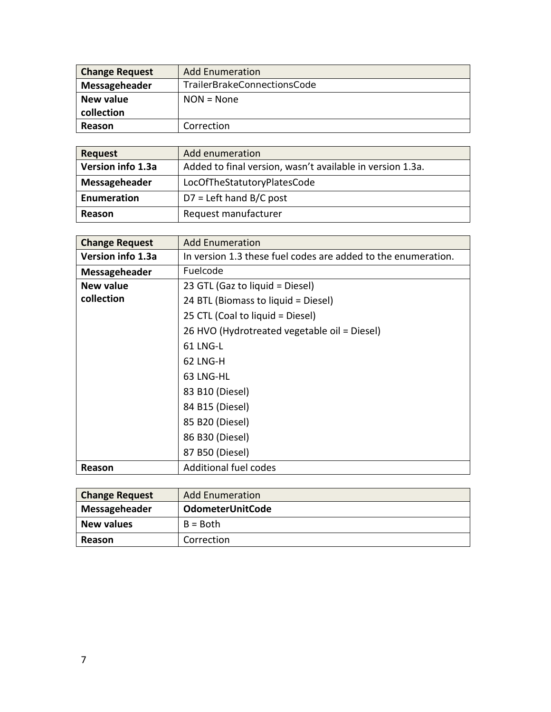| <b>Change Request</b> | <b>Add Enumeration</b>      |
|-----------------------|-----------------------------|
| Messageheader         | TrailerBrakeConnectionsCode |
| <b>New value</b>      | $NON = None$                |
| collection            |                             |
| Reason                | Correction                  |

| <b>Request</b>    | Add enumeration                                           |
|-------------------|-----------------------------------------------------------|
| Version info 1.3a | Added to final version, wasn't available in version 1.3a. |
| Messageheader     | LocOfTheStatutoryPlatesCode                               |
| Enumeration       | $D7$ = Left hand B/C post                                 |
| Reason            | Request manufacturer                                      |

| <b>Change Request</b> | <b>Add Enumeration</b>                                        |
|-----------------------|---------------------------------------------------------------|
| Version info 1.3a     | In version 1.3 these fuel codes are added to the enumeration. |
| Messageheader         | Fuelcode                                                      |
| New value             | 23 GTL (Gaz to liquid = Diesel)                               |
| collection            | 24 BTL (Biomass to liquid = Diesel)                           |
|                       | 25 CTL (Coal to liquid = Diesel)                              |
|                       | 26 HVO (Hydrotreated vegetable oil = Diesel)                  |
|                       | 61 LNG-L                                                      |
|                       | <b>62 LNG-H</b>                                               |
|                       | 63 LNG-HL                                                     |
|                       | 83 B10 (Diesel)                                               |
|                       | 84 B15 (Diesel)                                               |
|                       | 85 B20 (Diesel)                                               |
|                       | 86 B30 (Diesel)                                               |
|                       | 87 B50 (Diesel)                                               |
| Reason                | <b>Additional fuel codes</b>                                  |

| <b>Change Request</b> | <b>Add Enumeration</b>  |
|-----------------------|-------------------------|
| Messageheader         | <b>OdometerUnitCode</b> |
| <b>New values</b>     | $B = Both$              |
| Reason                | Correction              |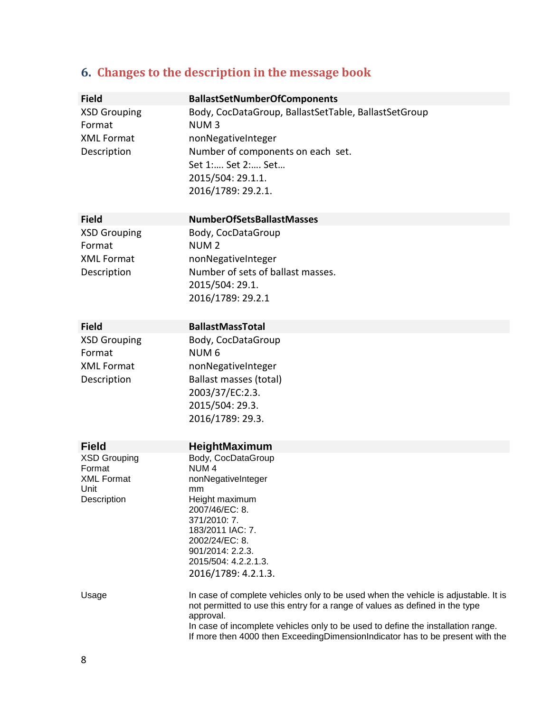# <span id="page-7-0"></span>**6. Changes to the description in the message book**

| <b>Field</b>                  | <b>BallastSetNumberOfComponents</b>                                                                                                                                             |
|-------------------------------|---------------------------------------------------------------------------------------------------------------------------------------------------------------------------------|
| <b>XSD Grouping</b><br>Format | Body, CocDataGroup, BallastSetTable, BallastSetGroup<br>NUM <sub>3</sub>                                                                                                        |
| <b>XML Format</b>             | nonNegativeInteger                                                                                                                                                              |
| Description                   | Number of components on each set.                                                                                                                                               |
|                               | Set 1: Set 2: Set                                                                                                                                                               |
|                               | 2015/504: 29.1.1.                                                                                                                                                               |
|                               | 2016/1789: 29.2.1.                                                                                                                                                              |
| <b>Field</b>                  | <b>NumberOfSetsBallastMasses</b>                                                                                                                                                |
| <b>XSD Grouping</b>           | Body, CocDataGroup                                                                                                                                                              |
| Format                        | NUM <sub>2</sub>                                                                                                                                                                |
| <b>XML Format</b>             | nonNegativeInteger                                                                                                                                                              |
| Description                   | Number of sets of ballast masses.                                                                                                                                               |
|                               | 2015/504: 29.1.                                                                                                                                                                 |
|                               | 2016/1789: 29.2.1                                                                                                                                                               |
| <b>Field</b>                  | <b>BallastMassTotal</b>                                                                                                                                                         |
| <b>XSD Grouping</b>           | Body, CocDataGroup                                                                                                                                                              |
| Format                        | NUM <sub>6</sub>                                                                                                                                                                |
| <b>XML Format</b>             | nonNegativeInteger                                                                                                                                                              |
| Description                   | Ballast masses (total)                                                                                                                                                          |
|                               | 2003/37/EC:2.3.                                                                                                                                                                 |
|                               | 2015/504: 29.3.                                                                                                                                                                 |
|                               | 2016/1789: 29.3.                                                                                                                                                                |
|                               |                                                                                                                                                                                 |
| <b>Field</b>                  | HeightMaximum                                                                                                                                                                   |
| <b>XSD Grouping</b>           | Body, CocDataGroup                                                                                                                                                              |
| Format<br><b>XML Format</b>   | NUM <sub>4</sub><br>nonNegativeInteger                                                                                                                                          |
| Unit                          | mm                                                                                                                                                                              |
| Description                   | Height maximum                                                                                                                                                                  |
|                               | 2007/46/EC: 8.<br>371/2010: 7.                                                                                                                                                  |
|                               | 183/2011 IAC: 7.                                                                                                                                                                |
|                               | 2002/24/EC: 8.                                                                                                                                                                  |
|                               | 901/2014: 2.2.3.                                                                                                                                                                |
|                               | 2015/504: 4.2.2.1.3.                                                                                                                                                            |
|                               | 2016/1789: 4.2.1.3.                                                                                                                                                             |
| Usage                         | In case of complete vehicles only to be used when the vehicle is adjustable. It is<br>not permitted to use this entry for a range of values as defined in the type<br>approval. |
|                               | In case of incomplete vehicles only to be used to define the installation range.<br>If more then 4000 then ExceedingDimensionIndicator has to be present with the               |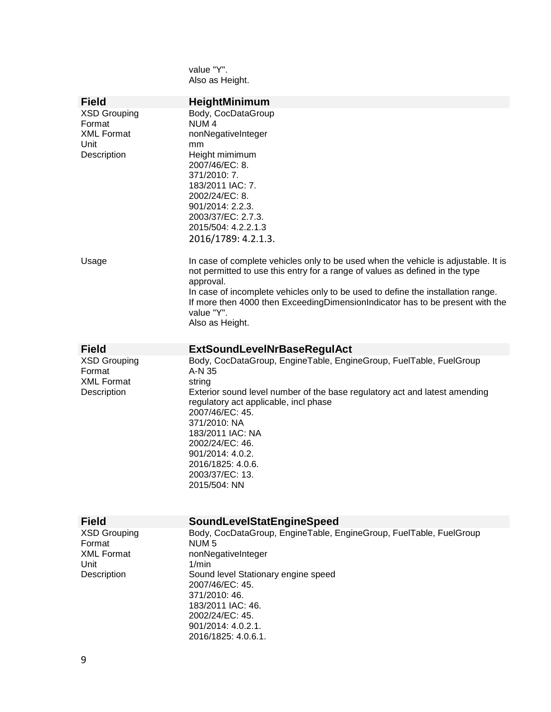value "Y". Also as Height.

| <b>Field</b>        | <b>HeightMinimum</b>                                                                                                                                                            |
|---------------------|---------------------------------------------------------------------------------------------------------------------------------------------------------------------------------|
| <b>XSD Grouping</b> | Body, CocDataGroup                                                                                                                                                              |
| Format              | NUM <sub>4</sub>                                                                                                                                                                |
| <b>XML Format</b>   | nonNegativeInteger                                                                                                                                                              |
| Unit                | mm                                                                                                                                                                              |
| Description         | Height mimimum                                                                                                                                                                  |
|                     | 2007/46/EC: 8.                                                                                                                                                                  |
|                     | 371/2010: 7.                                                                                                                                                                    |
|                     | 183/2011 IAC: 7.                                                                                                                                                                |
|                     | 2002/24/EC: 8.                                                                                                                                                                  |
|                     | 901/2014: 2.2.3.                                                                                                                                                                |
|                     | 2003/37/EC: 2.7.3.                                                                                                                                                              |
|                     | 2015/504: 4.2.2.1.3                                                                                                                                                             |
|                     | 2016/1789: 4.2.1.3.                                                                                                                                                             |
| Usage               | In case of complete vehicles only to be used when the vehicle is adjustable. It is<br>not permitted to use this entry for a range of values as defined in the type<br>approval. |
|                     | In case of incomplete vehicles only to be used to define the installation range.                                                                                                |
|                     | If more then 4000 then ExceedingDimensionIndicator has to be present with the                                                                                                   |
|                     | value "Y".                                                                                                                                                                      |
|                     | Also as Height.                                                                                                                                                                 |
|                     |                                                                                                                                                                                 |
| <b>Field</b>        | <b>ExtSoundLevelNrBaseRegulAct</b>                                                                                                                                              |
| <b>XSD Grouping</b> | Body, CocDataGroup, EngineTable, EngineGroup, FuelTable, FuelGroup                                                                                                              |
| Format              | A-N 35                                                                                                                                                                          |
| <b>XML Format</b>   | string                                                                                                                                                                          |
| Description         | Exterior sound level number of the base regulatory act and latest amending                                                                                                      |
|                     | regulatory act applicable, incl phase<br>2007/46/EC: 45.                                                                                                                        |
|                     | 371/2010: NA                                                                                                                                                                    |
|                     | 183/2011 IAC: NA                                                                                                                                                                |
|                     | 2002/24/EC: 46.                                                                                                                                                                 |
|                     | 901/2014: 4.0.2.                                                                                                                                                                |
|                     | 2016/1825: 4.0.6.                                                                                                                                                               |
|                     | 2003/37/EC: 13.                                                                                                                                                                 |
|                     | 2015/504: NN                                                                                                                                                                    |
|                     |                                                                                                                                                                                 |
|                     |                                                                                                                                                                                 |
| <b>Field</b>        | <b>SoundLevelStatEngineSpeed</b>                                                                                                                                                |
| <b>XSD Grouping</b> | Body, CocDataGroup, EngineTable, EngineGroup, FuelTable, FuelGroup                                                                                                              |
| Format              | NUM <sub>5</sub>                                                                                                                                                                |
| <b>XML Format</b>   | nonNegativeInteger                                                                                                                                                              |
| Unit<br>Description | $1/m$ in                                                                                                                                                                        |
|                     | Sound level Stationary engine speed<br>2007/46/EC: 45.                                                                                                                          |
|                     | 371/2010: 46.                                                                                                                                                                   |
|                     | 183/2011 IAC: 46.                                                                                                                                                               |
|                     | 2002/24/EC: 45.                                                                                                                                                                 |
|                     | 901/2014: 4.0.2.1.                                                                                                                                                              |
|                     | 2016/1825: 4.0.6.1.                                                                                                                                                             |
|                     |                                                                                                                                                                                 |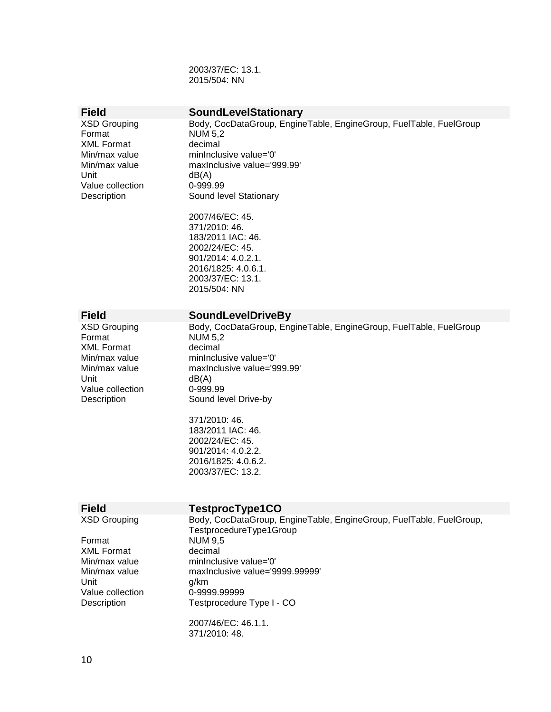2003/37/EC: 13.1. 2015/504: NN

XML Format Unit dB(A) Value collection 0-999.99<br>Description Sound le

# **Field**<br> **SoundLevelStationary**<br> **Sody, CocDataGroup, Engine**<br> **Example 2018**

XSD Grouping **Body, CocDataGroup, EngineTable, EngineGroup**, FuelTable, FuelGroup, FuelTable, FuelGroup NUM 5,2<br>decimal Min/max value minInclusive value='0'<br>Min/max value maxInclusive value='9' maxInclusive value='999.99' Sound level Stationary

> 2007/46/EC: 45. 371/2010: 46. 183/2011 IAC: 46. 2002/24/EC: 45. 901/2014: 4.0.2.1. 2016/1825: 4.0.6.1. 2003/37/EC: 13.1. 2015/504: NN

XML Format

# Format **NUM 5,2**<br>XML Format decimal

**Field**<br> **XSD Grouping** Body, CocDataGroup, Eng Body, CocDataGroup, EngineTable, EngineGroup, FuelTable, FuelGroup Min/max value minInclusive value='0' Min/max value maxInclusive value='999.99'<br>Unit dB(A)  $dB(A)$ Value collection 0-999.99 Description Sound level Drive-by

> 371/2010: 46. 183/2011 IAC: 46. 2002/24/EC: 45. 901/2014: 4.0.2.2. 2016/1825: 4.0.6.2. 2003/37/EC: 13.2.

| TestprocType1CO                                                                                |
|------------------------------------------------------------------------------------------------|
| Body, CocDataGroup, EngineTable, EngineGroup, FuelTable, FuelGroup,<br>TestprocedureType1Group |
| <b>NUM 9,5</b>                                                                                 |
| decimal                                                                                        |
| minInclusive value='0'                                                                         |
| maxinclusive value='9999.99999'                                                                |
| g/km                                                                                           |
| 0-9999.99999                                                                                   |
| Testprocedure Type I - CO                                                                      |
| 2007/46/EC: 46.1.1.                                                                            |
| 371/2010: 48.                                                                                  |
|                                                                                                |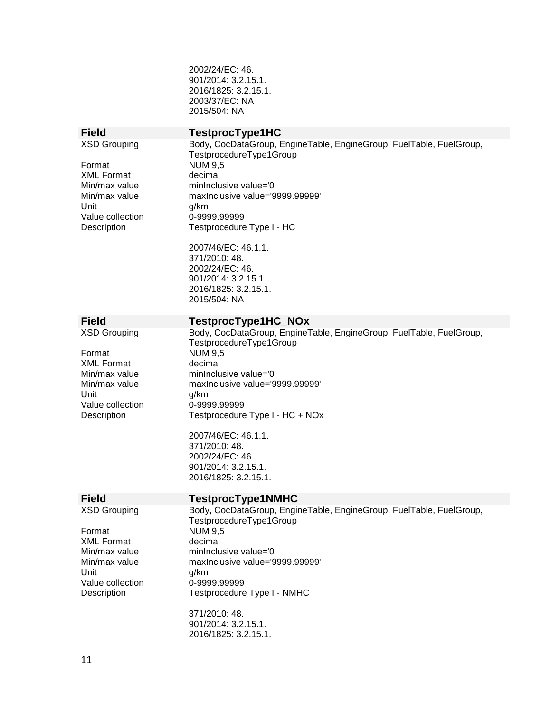2002/24/EC: 46. 901/2014: 3.2.15.1. 2016/1825: 3.2.15.1. 2003/37/EC: NA 2015/504: NA

Format NUM 9,5 XML Format decimal Unit g/km Value collection 0-9999.99999

**Field**<br> **XSD Grouping** Body, CocDataGroup, E Body, CocDataGroup, EngineTable, EngineGroup, FuelTable, FuelGroup, TestprocedureType1Group Min/max value minInclusive value='0'<br>Min/max value maxInclusive value='9' max Inclusive value='9999.99999' Testprocedure Type I - HC

> 2007/46/EC: 46.1.1. 371/2010: 48. 2002/24/EC: 46. 901/2014: 3.2.15.1. 2016/1825: 3.2.15.1. 2015/504: NA

# **Field TestprocType1HC\_NOx**<br>
XSD Grouping Body, CocDataGroup, EngineT

Format NUM 9,5 XML Format decimal Unit g/km<br>Value collection 0-9999.99999 Value collection

Body, CocDataGroup, EngineTable, EngineGroup, FuelTable, FuelGroup, TestprocedureType1Group Min/max value minInclusive value='0'<br>Min/max value maxInclusive value='9 maxInclusive value='9999.99999' Description Testprocedure Type I - HC + NOx

> 2007/46/EC: 46.1.1. 371/2010: 48. 2002/24/EC: 46. 901/2014: 3.2.15.1. 2016/1825: 3.2.15.1.

# **Field**<br> **XSD Grouping**<br> **TestprocType1NMHC**<br> **Rody, CocDataGroup, Enging**

Format NUM 9.5 XML Format decimal Unit g/km Value collection 0-9999.99999

Body, CocDataGroup, EngineTable, EngineGroup, FuelTable, FuelGroup, TestprocedureType1Group Min/max value minInclusive value='0' Min/max value maxInclusive value='9999.99999' Testprocedure Type I - NMHC

> 371/2010: 48. 901/2014: 3.2.15.1. 2016/1825: 3.2.15.1.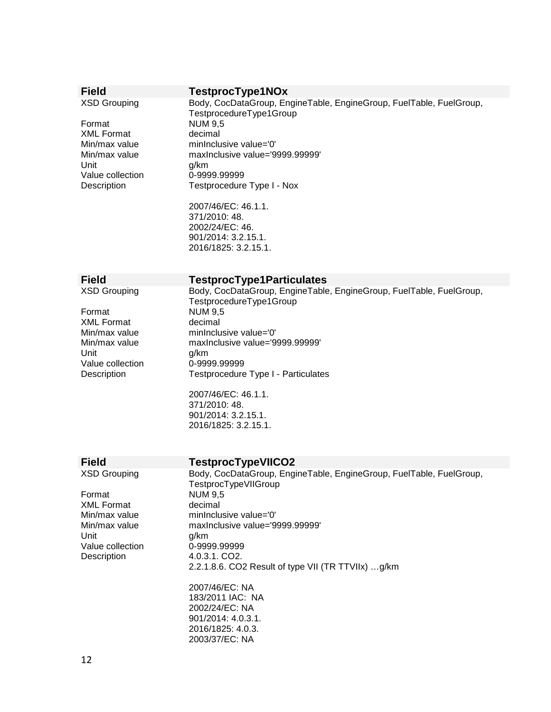| <b>Field</b>             | TestprocType1NOx                                                                               |
|--------------------------|------------------------------------------------------------------------------------------------|
| <b>XSD Grouping</b>      | Body, CocDataGroup, EngineTable, EngineGroup, FuelTable, FuelGroup,<br>TestprocedureType1Group |
| Format                   | <b>NUM 9,5</b>                                                                                 |
| <b>XML Format</b>        | decimal                                                                                        |
| Min/max value            | minInclusive value='0'                                                                         |
| Min/max value<br>Unit    | maxInclusive value='9999.99999'<br>g/km                                                        |
| Value collection         | 0-9999.99999                                                                                   |
| Description              | Testprocedure Type I - Nox                                                                     |
|                          |                                                                                                |
|                          | 2007/46/EC: 46.1.1.                                                                            |
|                          | 371/2010: 48.                                                                                  |
|                          | 2002/24/EC: 46.                                                                                |
|                          | 901/2014: 3.2.15.1.                                                                            |
|                          | 2016/1825: 3.2.15.1.                                                                           |
|                          |                                                                                                |
| <b>Field</b>             | <b>TestprocType1Particulates</b>                                                               |
| <b>XSD Grouping</b>      | Body, CocDataGroup, EngineTable, EngineGroup, FuelTable, FuelGroup,                            |
|                          | TestprocedureType1Group                                                                        |
| Format                   | <b>NUM 9,5</b>                                                                                 |
| <b>XML Format</b>        | decimal                                                                                        |
| Min/max value            | minInclusive value='0'                                                                         |
| Min/max value            | maxInclusive value='9999.99999'                                                                |
| Unit                     | g/km                                                                                           |
| Value collection         | 0-9999.99999                                                                                   |
| Description              | Testprocedure Type I - Particulates                                                            |
|                          | 2007/46/EC: 46.1.1.                                                                            |
|                          | 371/2010: 48.                                                                                  |
|                          | 901/2014: 3.2.15.1.                                                                            |
|                          | 2016/1825: 3.2.15.1.                                                                           |
|                          |                                                                                                |
|                          |                                                                                                |
| <b>Field</b>             | <b>TestprocTypeVIICO2</b>                                                                      |
| <b>XSD Grouping</b>      | Body, CocDataGroup, EngineTable, EngineGroup, FuelTable, FuelGroup,                            |
|                          | TestprocTypeVIIGroup                                                                           |
| Format                   | <b>NUM 9,5</b>                                                                                 |
| <b>XML Format</b>        | decimal                                                                                        |
| Min/max value            | minInclusive value='0'                                                                         |
| Min/max value            | maxinclusive value='9999.99999'                                                                |
| Unit<br>Value collection | g/km<br>0-9999.99999                                                                           |
| Description              | 4.0.3.1. CO2.                                                                                  |
|                          | 2.2.1.8.6. CO2 Result of type VII (TR TTVIIx) g/km                                             |
|                          |                                                                                                |
|                          | 2007/46/EC: NA                                                                                 |
|                          | 183/2011 IAC: NA                                                                               |
|                          | 2002/24/EC: NA                                                                                 |
|                          | 901/2014: 4.0.3.1.                                                                             |
|                          | 2016/1825: 4.0.3.                                                                              |
|                          | 2003/37/EC: NA                                                                                 |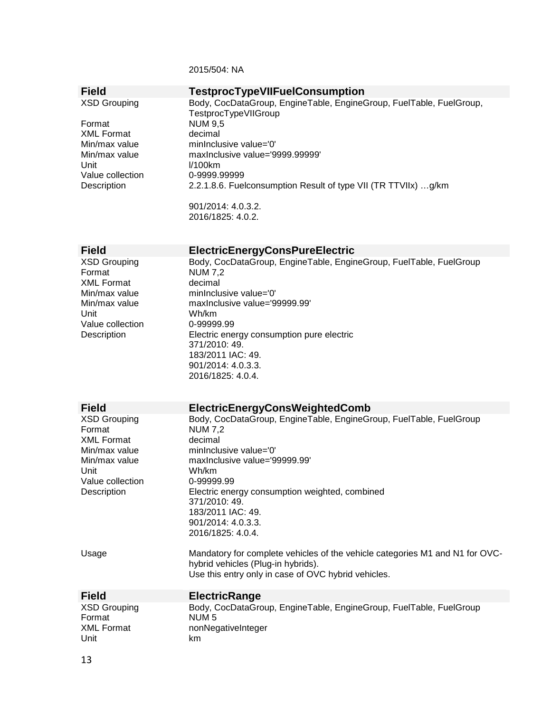2015/504: NA

| <b>Field</b>                                       | <b>TestprocTypeVIIFuelConsumption</b>                                                                         |
|----------------------------------------------------|---------------------------------------------------------------------------------------------------------------|
| <b>XSD Grouping</b><br>Format                      | Body, CocDataGroup, EngineTable, EngineGroup, FuelTable, FuelGroup,<br>TestprocTypeVIIGroup<br><b>NUM 9,5</b> |
| <b>XML Format</b>                                  | decimal                                                                                                       |
| Min/max value                                      | minInclusive value='0'                                                                                        |
| Min/max value                                      | maxInclusive value='9999.99999'                                                                               |
| Unit                                               | I/100km                                                                                                       |
| Value collection                                   | 0-9999.99999                                                                                                  |
| Description                                        | 2.2.1.8.6. Fuelconsumption Result of type VII (TR TTVIIx) g/km                                                |
|                                                    | 901/2014: 4.0.3.2.                                                                                            |
|                                                    | 2016/1825: 4.0.2.                                                                                             |
| <b>Field</b>                                       | <b>ElectricEnergyConsPureElectric</b>                                                                         |
| <b>XSD Grouping</b><br>Format<br><b>XML Format</b> | Body, CocDataGroup, EngineTable, EngineGroup, FuelTable, FuelGroup<br><b>NUM 7,2</b><br>decimal               |
| Min/max value                                      | minInclusive value='0'                                                                                        |
| Min/max value                                      | maxInclusive value='99999.99'                                                                                 |
| Unit                                               | Wh/km                                                                                                         |
| Value collection                                   | 0-99999.99                                                                                                    |
| Description                                        | Electric energy consumption pure electric                                                                     |
|                                                    | 371/2010: 49.                                                                                                 |
|                                                    | 183/2011 IAC: 49.                                                                                             |
|                                                    | 901/2014: 4.0.3.3.<br>2016/1825: 4.0.4.                                                                       |
|                                                    |                                                                                                               |
|                                                    |                                                                                                               |
|                                                    |                                                                                                               |
| <b>Field</b>                                       |                                                                                                               |
|                                                    | <b>ElectricEnergyConsWeightedComb</b>                                                                         |
| <b>XSD Grouping</b><br>Format                      | Body, CocDataGroup, EngineTable, EngineGroup, FuelTable, FuelGroup<br><b>NUM 7,2</b>                          |
| <b>XML Format</b>                                  | decimal                                                                                                       |
| Min/max value                                      | minInclusive value='0'                                                                                        |
| Min/max value                                      | maxInclusive value='99999.99'                                                                                 |
| Unit                                               | Wh/km                                                                                                         |
| Value collection                                   | 0-99999.99                                                                                                    |
| Description                                        | Electric energy consumption weighted, combined                                                                |
|                                                    | 371/2010: 49.                                                                                                 |
|                                                    | 183/2011 IAC: 49.                                                                                             |
|                                                    | 901/2014: 4.0.3.3.                                                                                            |
|                                                    | 2016/1825: 4.0.4.                                                                                             |
| Usage                                              | Mandatory for complete vehicles of the vehicle categories M1 and N1 for OVC-                                  |
|                                                    | hybrid vehicles (Plug-in hybrids).                                                                            |
|                                                    | Use this entry only in case of OVC hybrid vehicles.                                                           |
|                                                    |                                                                                                               |
| <b>Field</b>                                       | <b>ElectricRange</b>                                                                                          |
| <b>XSD Grouping</b>                                | Body, CocDataGroup, EngineTable, EngineGroup, FuelTable, FuelGroup                                            |
| Format                                             | NUM <sub>5</sub>                                                                                              |
| <b>XML Format</b><br>Unit                          | nonNegativeInteger<br>km                                                                                      |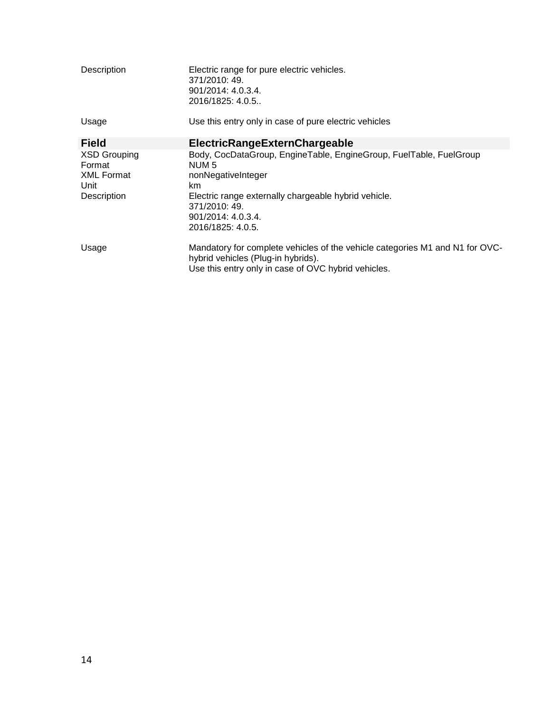| Description                                                               | Electric range for pure electric vehicles.<br>371/2010: 49.<br>901/2014: 4.0.3.4.<br>2016/1825: 4.0.5.                                                                                                                          |
|---------------------------------------------------------------------------|---------------------------------------------------------------------------------------------------------------------------------------------------------------------------------------------------------------------------------|
| Usage                                                                     | Use this entry only in case of pure electric vehicles                                                                                                                                                                           |
| <b>Field</b>                                                              | <b>ElectricRangeExternChargeable</b>                                                                                                                                                                                            |
| <b>XSD Grouping</b><br>Format<br><b>XML Format</b><br>Unit<br>Description | Body, CocDataGroup, EngineTable, EngineGroup, FuelTable, FuelGroup<br>NUM 5<br>nonNegativeInteger<br>km.<br>Electric range externally chargeable hybrid vehicle.<br>371/2010: 49.<br>$901/2014$ : 4.0.3.4.<br>2016/1825: 4.0.5. |
| Usage                                                                     | Mandatory for complete vehicles of the vehicle categories M1 and N1 for OVC-<br>hybrid vehicles (Plug-in hybrids).<br>Use this entry only in case of OVC hybrid vehicles.                                                       |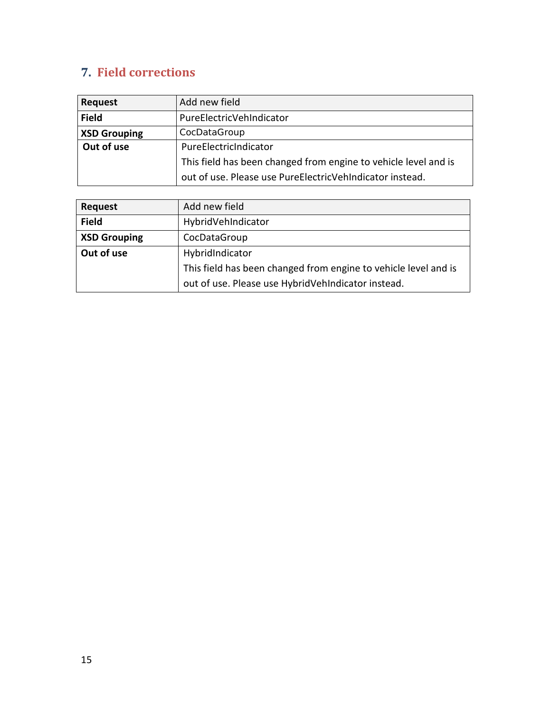# <span id="page-14-0"></span>**7. Field corrections**

| <b>Request</b>      | Add new field                                                   |
|---------------------|-----------------------------------------------------------------|
| <b>Field</b>        | PureElectricVehIndicator                                        |
| <b>XSD Grouping</b> | CocDataGroup                                                    |
| Out of use          | PureElectricIndicator                                           |
|                     | This field has been changed from engine to vehicle level and is |
|                     | out of use. Please use PureElectricVehIndicator instead.        |

| <b>Request</b>      | Add new field                                                   |
|---------------------|-----------------------------------------------------------------|
| <b>Field</b>        | HybridVehIndicator                                              |
| <b>XSD Grouping</b> | CocDataGroup                                                    |
| Out of use          | HybridIndicator                                                 |
|                     | This field has been changed from engine to vehicle level and is |
|                     | out of use. Please use HybridVehIndicator instead.              |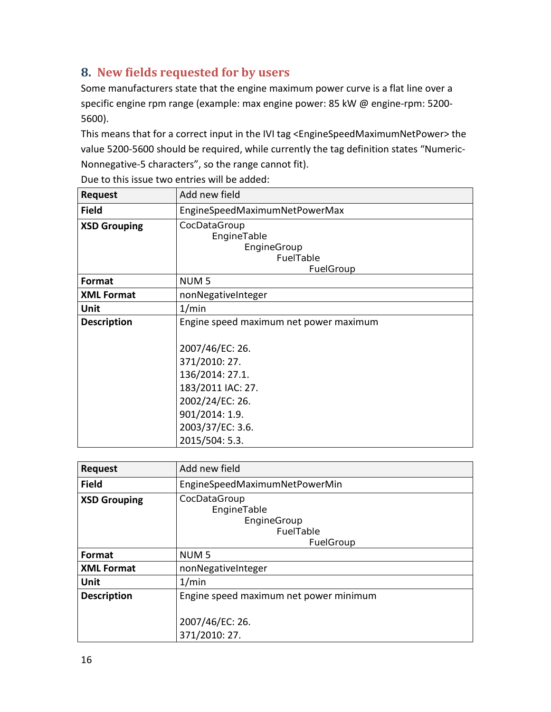# <span id="page-15-0"></span>**8. New fields requested for by users**

Some manufacturers state that the engine maximum power curve is a flat line over a specific engine rpm range (example: max engine power: 85 kW @ engine-rpm: 5200- 5600).

This means that for a correct input in the IVI tag <EngineSpeedMaximumNetPower> the value 5200-5600 should be required, while currently the tag definition states "Numeric-Nonnegative-5 characters", so the range cannot fit).

| <b>Request</b>      | Add new field                                                                                                                                                                                 |
|---------------------|-----------------------------------------------------------------------------------------------------------------------------------------------------------------------------------------------|
| <b>Field</b>        | EngineSpeedMaximumNetPowerMax                                                                                                                                                                 |
| <b>XSD Grouping</b> | CocDataGroup<br>EngineTable<br>EngineGroup<br>FuelTable<br>FuelGroup                                                                                                                          |
| Format              | NUM <sub>5</sub>                                                                                                                                                                              |
| <b>XML Format</b>   | nonNegativeInteger                                                                                                                                                                            |
| Unit                | 1/min                                                                                                                                                                                         |
| <b>Description</b>  | Engine speed maximum net power maximum<br>2007/46/EC: 26.<br>371/2010: 27.<br>136/2014: 27.1.<br>183/2011 IAC: 27.<br>2002/24/EC: 26.<br>901/2014: 1.9.<br>2003/37/EC: 3.6.<br>2015/504: 5.3. |

Due to this issue two entries will be added:

| <b>Request</b>      | Add new field                                                               |
|---------------------|-----------------------------------------------------------------------------|
| <b>Field</b>        | EngineSpeedMaximumNetPowerMin                                               |
| <b>XSD Grouping</b> | CocDataGroup<br>EngineTable<br>EngineGroup<br><b>FuelTable</b><br>FuelGroup |
| <b>Format</b>       | NUM <sub>5</sub>                                                            |
| <b>XML Format</b>   | nonNegativeInteger                                                          |
| Unit                | 1/min                                                                       |
| <b>Description</b>  | Engine speed maximum net power minimum<br>2007/46/EC: 26.<br>371/2010: 27.  |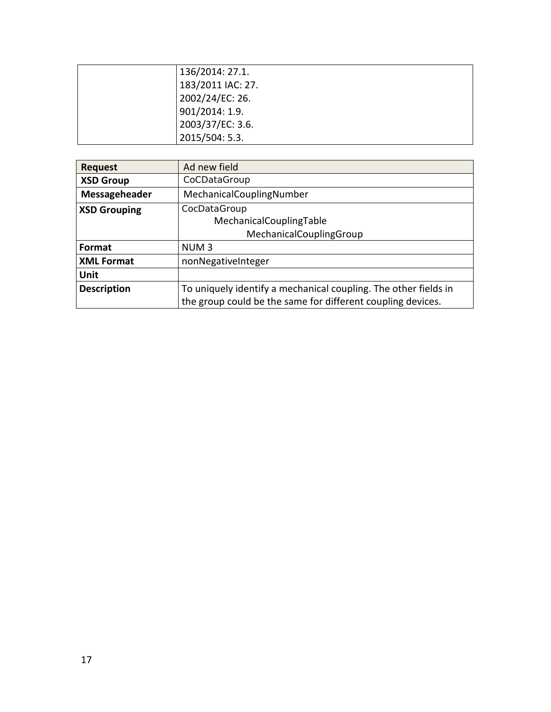| 136/2014: 27.1.   |
|-------------------|
| 183/2011 IAC: 27. |
| 2002/24/EC: 26.   |
| 901/2014: 1.9.    |
| 2003/37/EC: 3.6.  |
| 2015/504: 5.3.    |

| <b>Request</b>      | Ad new field                                                    |
|---------------------|-----------------------------------------------------------------|
| <b>XSD Group</b>    | CoCDataGroup                                                    |
| Messageheader       | MechanicalCouplingNumber                                        |
| <b>XSD Grouping</b> | CocDataGroup                                                    |
|                     | MechanicalCouplingTable                                         |
|                     | MechanicalCouplingGroup                                         |
| Format              | NUM <sub>3</sub>                                                |
| <b>XML Format</b>   | nonNegativeInteger                                              |
| Unit                |                                                                 |
| <b>Description</b>  | To uniquely identify a mechanical coupling. The other fields in |
|                     | the group could be the same for different coupling devices.     |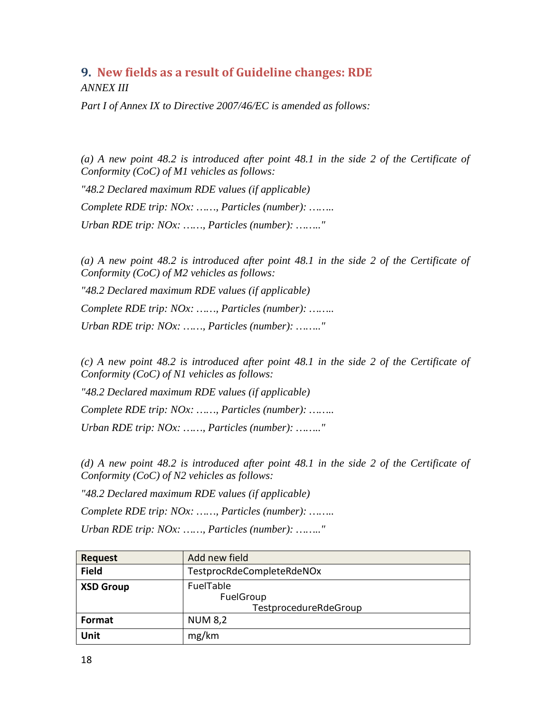# <span id="page-17-0"></span>**9. New fields as a result of Guideline changes: RDE** *ANNEX III*

*Part I of Annex IX to Directive 2007/46/EC is amended as follows:*

*(a) A new point 48.2 is introduced after point 48.1 in the side 2 of the Certificate of Conformity (CoC) of M1 vehicles as follows:*

*"48.2 Declared maximum RDE values (if applicable) Complete RDE trip: NOx: ……, Particles (number): …….. Urban RDE trip: NOx: ……, Particles (number): …….."*

*(a) A new point 48.2 is introduced after point 48.1 in the side 2 of the Certificate of Conformity (CoC) of M2 vehicles as follows:*

*"48.2 Declared maximum RDE values (if applicable) Complete RDE trip: NOx: ……, Particles (number): …….. Urban RDE trip: NOx: ……, Particles (number): …….."*

*(c) A new point 48.2 is introduced after point 48.1 in the side 2 of the Certificate of Conformity (CoC) of N1 vehicles as follows:*

*"48.2 Declared maximum RDE values (if applicable)*

*Complete RDE trip: NOx: ……, Particles (number): ……..* 

*Urban RDE trip: NOx: ……, Particles (number): …….."*

*(d) A new point 48.2 is introduced after point 48.1 in the side 2 of the Certificate of Conformity (CoC) of N2 vehicles as follows:*

*"48.2 Declared maximum RDE values (if applicable)*

*Complete RDE trip: NOx: ……, Particles (number): ……..* 

*Urban RDE trip: NOx: ……, Particles (number): …….."*

| <b>Request</b>   | Add new field                                   |
|------------------|-------------------------------------------------|
| <b>Field</b>     | TestprocRdeCompleteRdeNOx                       |
| <b>XSD Group</b> | FuelTable<br>FuelGroup<br>TestprocedureRdeGroup |
| Format           | <b>NUM 8,2</b>                                  |
| Unit             | mg/km                                           |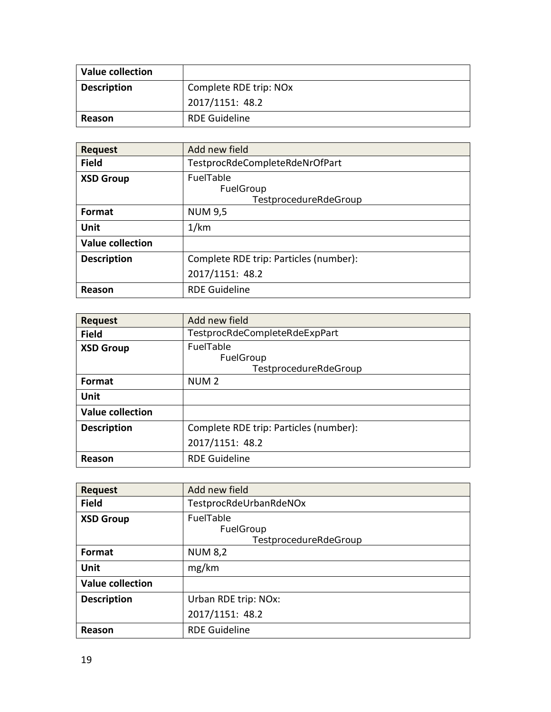| <b>Value collection</b> |                        |
|-------------------------|------------------------|
| <b>Description</b>      | Complete RDE trip: NOx |
|                         | 2017/1151: 48.2        |
| Reason                  | <b>RDE Guideline</b>   |

| <b>Request</b>          | Add new field                                          |
|-------------------------|--------------------------------------------------------|
| <b>Field</b>            | TestprocRdeCompleteRdeNrOfPart                         |
| <b>XSD Group</b>        | <b>FuelTable</b><br>FuelGroup<br>TestprocedureRdeGroup |
| <b>Format</b>           | <b>NUM 9,5</b>                                         |
| Unit                    | 1/km                                                   |
| <b>Value collection</b> |                                                        |
| <b>Description</b>      | Complete RDE trip: Particles (number):                 |
|                         | 2017/1151: 48.2                                        |
| Reason                  | <b>RDE Guideline</b>                                   |

| <b>Request</b>          | Add new field                                   |
|-------------------------|-------------------------------------------------|
| <b>Field</b>            | TestprocRdeCompleteRdeExpPart                   |
| <b>XSD Group</b>        | FuelTable<br>FuelGroup<br>TestprocedureRdeGroup |
| Format                  | NUM <sub>2</sub>                                |
| Unit                    |                                                 |
| <b>Value collection</b> |                                                 |
| <b>Description</b>      | Complete RDE trip: Particles (number):          |
|                         | 2017/1151: 48.2                                 |
| Reason                  | <b>RDE Guideline</b>                            |

| <b>Request</b>          | Add new field                                   |
|-------------------------|-------------------------------------------------|
| <b>Field</b>            | TestprocRdeUrbanRdeNOx                          |
| <b>XSD Group</b>        | FuelTable<br>FuelGroup<br>TestprocedureRdeGroup |
| Format                  | <b>NUM 8,2</b>                                  |
| Unit                    | mg/km                                           |
| <b>Value collection</b> |                                                 |
| <b>Description</b>      | Urban RDE trip: NOx:                            |
|                         | 2017/1151: 48.2                                 |
| Reason                  | <b>RDE Guideline</b>                            |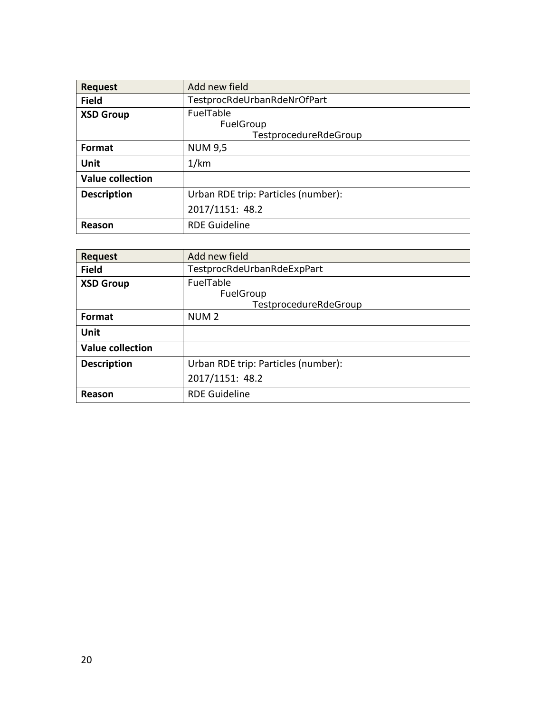| <b>Request</b>          | Add new field                                   |
|-------------------------|-------------------------------------------------|
| <b>Field</b>            | TestprocRdeUrbanRdeNrOfPart                     |
| <b>XSD Group</b>        | FuelTable<br>FuelGroup<br>TestprocedureRdeGroup |
| Format                  | <b>NUM 9,5</b>                                  |
| Unit                    | 1/km                                            |
| <b>Value collection</b> |                                                 |
| <b>Description</b>      | Urban RDE trip: Particles (number):             |
|                         | 2017/1151: 48.2                                 |
| Reason                  | <b>RDE Guideline</b>                            |

| <b>Request</b>          | Add new field                                   |
|-------------------------|-------------------------------------------------|
| <b>Field</b>            | TestprocRdeUrbanRdeExpPart                      |
| <b>XSD Group</b>        | FuelTable<br>FuelGroup<br>TestprocedureRdeGroup |
| Format                  | NUM <sub>2</sub>                                |
| Unit                    |                                                 |
| <b>Value collection</b> |                                                 |
| <b>Description</b>      | Urban RDE trip: Particles (number):             |
|                         | 2017/1151: 48.2                                 |
| Reason                  | <b>RDE Guideline</b>                            |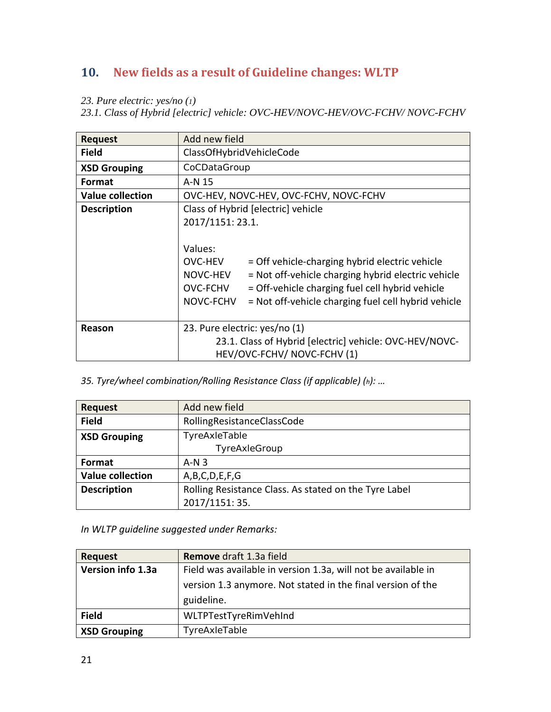# <span id="page-20-0"></span>**10. New fields as a result of Guideline changes: WLTP**

- *23. Pure electric: yes/no (1)*
- *23.1. Class of Hybrid [electric] vehicle: OVC-HEV/NOVC-HEV/OVC-FCHV/ NOVC-FCHV*

|                         | Add new field                                                    |
|-------------------------|------------------------------------------------------------------|
| <b>Request</b>          |                                                                  |
| <b>Field</b>            | ClassOfHybridVehicleCode                                         |
| <b>XSD Grouping</b>     | CoCDataGroup                                                     |
| Format                  | A-N 15                                                           |
| <b>Value collection</b> | OVC-HEV, NOVC-HEV, OVC-FCHV, NOVC-FCHV                           |
| <b>Description</b>      | Class of Hybrid [electric] vehicle                               |
|                         | 2017/1151: 23.1.                                                 |
|                         |                                                                  |
|                         | Values:                                                          |
|                         | OVC-HEV<br>= Off vehicle-charging hybrid electric vehicle        |
|                         | NOVC-HEV<br>= Not off-vehicle charging hybrid electric vehicle   |
|                         | OVC-FCHV<br>= Off-vehicle charging fuel cell hybrid vehicle      |
|                         | NOVC-FCHV<br>= Not off-vehicle charging fuel cell hybrid vehicle |
|                         |                                                                  |
| Reason                  | 23. Pure electric: yes/no (1)                                    |
|                         | 23.1. Class of Hybrid [electric] vehicle: OVC-HEV/NOVC-          |
|                         | HEV/OVC-FCHV/ NOVC-FCHV (1)                                      |

*35. Tyre/wheel combination/Rolling Resistance Class (if applicable) (h): …* 

| <b>Request</b>          | Add new field                                         |
|-------------------------|-------------------------------------------------------|
| <b>Field</b>            | RollingResistanceClassCode                            |
| <b>XSD Grouping</b>     | TyreAxleTable                                         |
|                         | TyreAxleGroup                                         |
| Format                  | $A-N3$                                                |
| <b>Value collection</b> | A,B,C,D,E,F,G                                         |
| <b>Description</b>      | Rolling Resistance Class. As stated on the Tyre Label |
|                         | 2017/1151: 35.                                        |

*In WLTP guideline suggested under Remarks:*

| <b>Request</b>      | Remove draft 1.3a field                                       |
|---------------------|---------------------------------------------------------------|
| Version info 1.3a   | Field was available in version 1.3a, will not be available in |
|                     | version 1.3 anymore. Not stated in the final version of the   |
|                     | guideline.                                                    |
| <b>Field</b>        | WLTPTestTyreRimVehInd                                         |
| <b>XSD Grouping</b> | TyreAxleTable                                                 |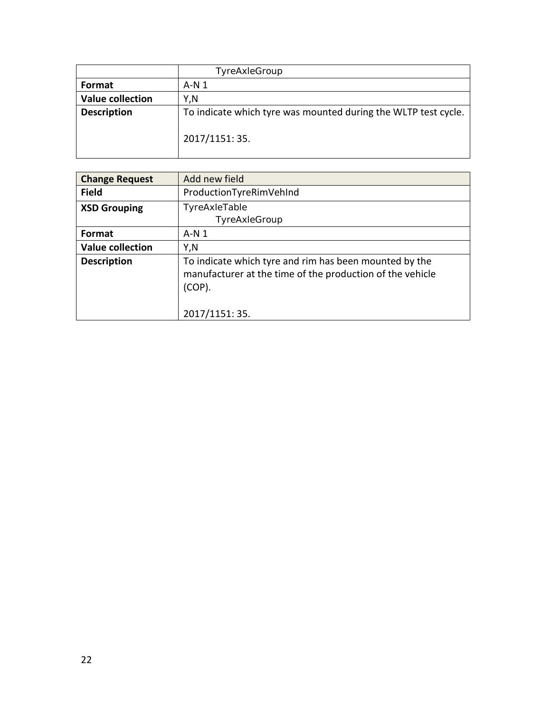|                         | TyreAxleGroup                                                  |
|-------------------------|----------------------------------------------------------------|
| <b>Format</b>           | $A-N1$                                                         |
| <b>Value collection</b> | Y.N                                                            |
| <b>Description</b>      | To indicate which tyre was mounted during the WLTP test cycle. |
|                         | 2017/1151: 35.                                                 |

| <b>Change Request</b>   | Add new field                                                                                                                    |
|-------------------------|----------------------------------------------------------------------------------------------------------------------------------|
| <b>Field</b>            | ProductionTyreRimVehInd                                                                                                          |
| <b>XSD Grouping</b>     | TyreAxleTable                                                                                                                    |
|                         | TyreAxleGroup                                                                                                                    |
| <b>Format</b>           | $A-N1$                                                                                                                           |
| <b>Value collection</b> | Y,N                                                                                                                              |
| <b>Description</b>      | To indicate which tyre and rim has been mounted by the<br>manufacturer at the time of the production of the vehicle<br>$(COP)$ . |
|                         | 2017/1151: 35.                                                                                                                   |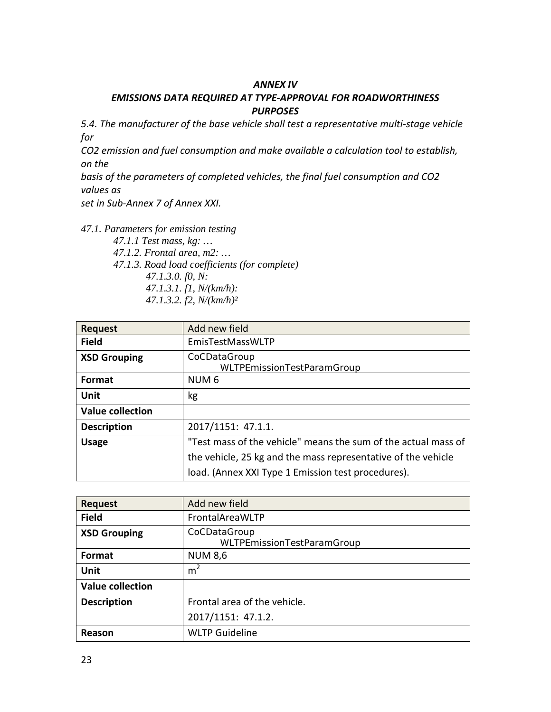#### *ANNEX IV*

#### *EMISSIONS DATA REQUIRED AT TYPE-APPROVAL FOR ROADWORTHINESS PURPOSES*

*5.4. The manufacturer of the base vehicle shall test a representative multi-stage vehicle for*

*CO2 emission and fuel consumption and make available a calculation tool to establish, on the*

*basis of the parameters of completed vehicles, the final fuel consumption and CO2 values as*

*set in Sub-Annex 7 of Annex XXI.*

*47.1. Parameters for emission testing 47.1.1 Test mass, kg: … 47.1.2. Frontal area, m2: … 47.1.3. Road load coefficients (for complete) 47.1.3.0. f0, N: 47.1.3.1. f1, N/(km/h): 47.1.3.2. f2, N/(km/h)²*

| <b>Request</b>          | Add new field                                                  |
|-------------------------|----------------------------------------------------------------|
| <b>Field</b>            | EmisTestMassWLTP                                               |
| <b>XSD Grouping</b>     | CoCDataGroup<br>WLTPEmissionTestParamGroup                     |
| Format                  | NUM <sub>6</sub>                                               |
| Unit                    | kg                                                             |
| <b>Value collection</b> |                                                                |
| <b>Description</b>      | 2017/1151: 47.1.1.                                             |
| <b>Usage</b>            | "Test mass of the vehicle" means the sum of the actual mass of |
|                         | the vehicle, 25 kg and the mass representative of the vehicle  |
|                         | load. (Annex XXI Type 1 Emission test procedures).             |

| <b>Request</b>          | Add new field                              |
|-------------------------|--------------------------------------------|
| <b>Field</b>            | FrontalAreaWLTP                            |
| <b>XSD Grouping</b>     | CoCDataGroup<br>WLTPEmissionTestParamGroup |
| <b>Format</b>           | <b>NUM 8,6</b>                             |
| Unit                    | m <sup>2</sup>                             |
| <b>Value collection</b> |                                            |
| <b>Description</b>      | Frontal area of the vehicle.               |
|                         | 2017/1151: 47.1.2.                         |
| Reason                  | <b>WLTP Guideline</b>                      |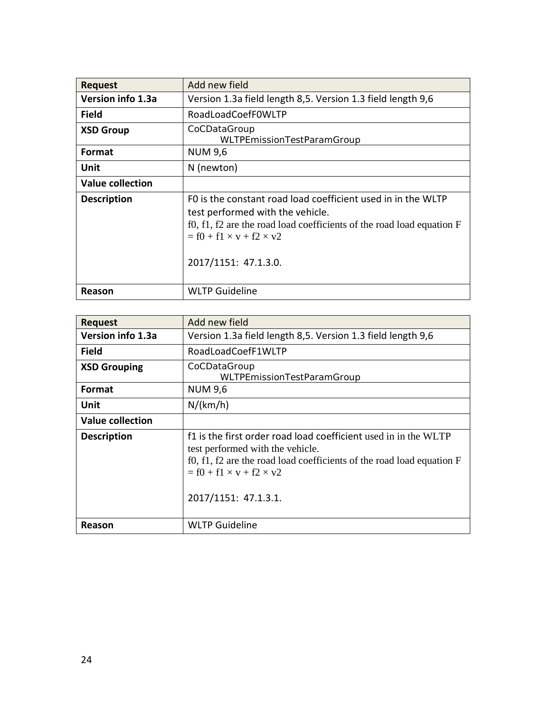| <b>Request</b>          | Add new field                                                                                                                                                                                                                                  |
|-------------------------|------------------------------------------------------------------------------------------------------------------------------------------------------------------------------------------------------------------------------------------------|
| Version info 1.3a       | Version 1.3a field length 8,5. Version 1.3 field length 9,6                                                                                                                                                                                    |
| <b>Field</b>            | RoadLoadCoefF0WLTP                                                                                                                                                                                                                             |
| <b>XSD Group</b>        | CoCDataGroup<br>WLTPEmissionTestParamGroup                                                                                                                                                                                                     |
| <b>Format</b>           | <b>NUM 9,6</b>                                                                                                                                                                                                                                 |
| Unit                    | N (newton)                                                                                                                                                                                                                                     |
| <b>Value collection</b> |                                                                                                                                                                                                                                                |
| <b>Description</b>      | FO is the constant road load coefficient used in in the WLTP<br>test performed with the vehicle.<br>f0, f1, f2 are the road load coefficients of the road load equation $F$<br>$=$ f0 + f1 $\times$ v + f2 $\times$ v2<br>2017/1151: 47.1.3.0. |
| Reason                  | <b>WLTP Guideline</b>                                                                                                                                                                                                                          |

| <b>Request</b>          | Add new field                                                                                                                                                                                                                                     |
|-------------------------|---------------------------------------------------------------------------------------------------------------------------------------------------------------------------------------------------------------------------------------------------|
| Version info 1.3a       | Version 1.3a field length 8,5. Version 1.3 field length 9,6                                                                                                                                                                                       |
| <b>Field</b>            | RoadLoadCoefF1WLTP                                                                                                                                                                                                                                |
| <b>XSD Grouping</b>     | CoCDataGroup<br>WLTPEmissionTestParamGroup                                                                                                                                                                                                        |
| <b>Format</b>           | <b>NUM 9,6</b>                                                                                                                                                                                                                                    |
| Unit                    | N/(km/h)                                                                                                                                                                                                                                          |
| <b>Value collection</b> |                                                                                                                                                                                                                                                   |
| <b>Description</b>      | f1 is the first order road load coefficient used in in the WLTP<br>test performed with the vehicle.<br>f0, f1, f2 are the road load coefficients of the road load equation $F$<br>$=$ f0 + f1 $\times$ v + f2 $\times$ v2<br>2017/1151: 47.1.3.1. |
| Reason                  | <b>WLTP Guideline</b>                                                                                                                                                                                                                             |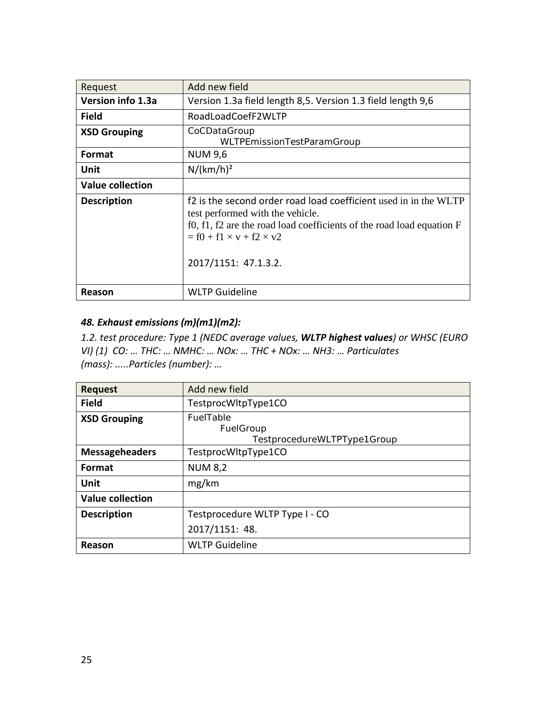| Request                 | Add new field                                                                                                                                                                                                                                      |
|-------------------------|----------------------------------------------------------------------------------------------------------------------------------------------------------------------------------------------------------------------------------------------------|
| Version info 1.3a       | Version 1.3a field length 8,5. Version 1.3 field length 9,6                                                                                                                                                                                        |
| <b>Field</b>            | RoadLoadCoefF2WLTP                                                                                                                                                                                                                                 |
| <b>XSD Grouping</b>     | CoCDataGroup<br>WLTPEmissionTestParamGroup                                                                                                                                                                                                         |
| <b>Format</b>           | <b>NUM 9,6</b>                                                                                                                                                                                                                                     |
| Unit                    | $N/(km/h)^2$                                                                                                                                                                                                                                       |
| <b>Value collection</b> |                                                                                                                                                                                                                                                    |
| <b>Description</b>      | f2 is the second order road load coefficient used in in the WLTP<br>test performed with the vehicle.<br>f0, f1, f2 are the road load coefficients of the road load equation $F$<br>$=$ f0 + f1 $\times$ v + f2 $\times$ v2<br>2017/1151: 47.1.3.2. |
| Reason                  | <b>WLTP Guideline</b>                                                                                                                                                                                                                              |

### *48. Exhaust emissions (m)(m1)(m2):*

*1.2. test procedure: Type 1 (NEDC average values, WLTP highest values) or WHSC (EURO VI) (1) CO: … THC: … NMHC: … NOx: … THC + NOx: … NH3: … Particulates (mass): .....Particles (number): …* 

| <b>Request</b>          | Add new field                                         |
|-------------------------|-------------------------------------------------------|
| <b>Field</b>            | TestprocWltpType1CO                                   |
| <b>XSD Grouping</b>     | FuelTable<br>FuelGroup<br>TestprocedureWLTPType1Group |
| <b>Messageheaders</b>   | TestprocWltpType1CO                                   |
| Format                  | <b>NUM 8,2</b>                                        |
| Unit                    | mg/km                                                 |
| <b>Value collection</b> |                                                       |
| <b>Description</b>      | Testprocedure WLTP Type I - CO                        |
|                         | 2017/1151: 48.                                        |
| Reason                  | <b>WLTP Guideline</b>                                 |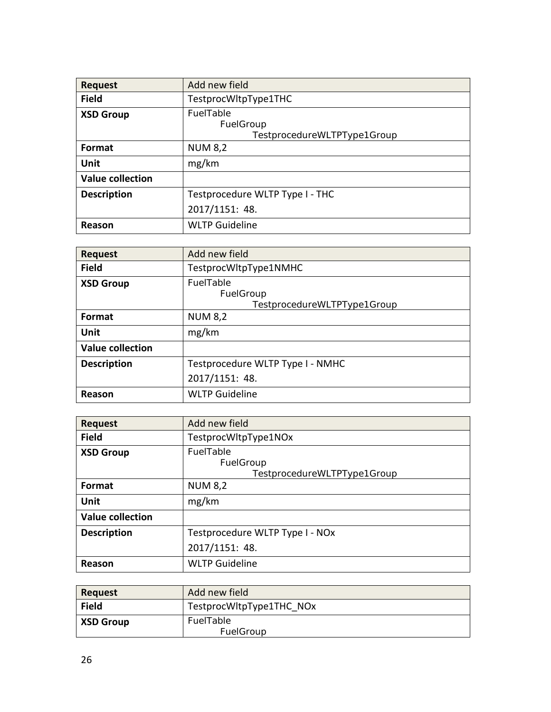| <b>Request</b>          | Add new field                   |
|-------------------------|---------------------------------|
| <b>Field</b>            | TestprocWltpType1THC            |
| <b>XSD Group</b>        | FuelTable                       |
|                         | FuelGroup                       |
|                         | TestprocedureWLTPType1Group     |
| Format                  | <b>NUM 8,2</b>                  |
| Unit                    | mg/km                           |
| <b>Value collection</b> |                                 |
| <b>Description</b>      | Testprocedure WLTP Type I - THC |
|                         | 2017/1151: 48.                  |
| Reason                  | <b>WLTP Guideline</b>           |

| <b>Request</b>          | Add new field                                         |
|-------------------------|-------------------------------------------------------|
| <b>Field</b>            | TestprocWltpType1NMHC                                 |
| <b>XSD Group</b>        | FuelTable<br>FuelGroup<br>TestprocedureWLTPType1Group |
| <b>Format</b>           | <b>NUM 8,2</b>                                        |
| Unit                    | mg/km                                                 |
| <b>Value collection</b> |                                                       |
| <b>Description</b>      | Testprocedure WLTP Type I - NMHC                      |
|                         | 2017/1151: 48.                                        |
| Reason                  | <b>WLTP Guideline</b>                                 |

| <b>Request</b>          | Add new field                   |
|-------------------------|---------------------------------|
| <b>Field</b>            | TestprocWltpType1NOx            |
| <b>XSD Group</b>        | FuelTable                       |
|                         | FuelGroup                       |
|                         | TestprocedureWLTPType1Group     |
| Format                  | <b>NUM 8,2</b>                  |
| <b>Unit</b>             | mg/km                           |
| <b>Value collection</b> |                                 |
| <b>Description</b>      | Testprocedure WLTP Type I - NOx |
|                         | 2017/1151: 48.                  |
| Reason                  | <b>WLTP Guideline</b>           |

| Request          | Add new field            |
|------------------|--------------------------|
| <b>Field</b>     | TestprocWltpType1THC NOx |
| <b>XSD Group</b> | FuelTable                |
|                  | FuelGroup                |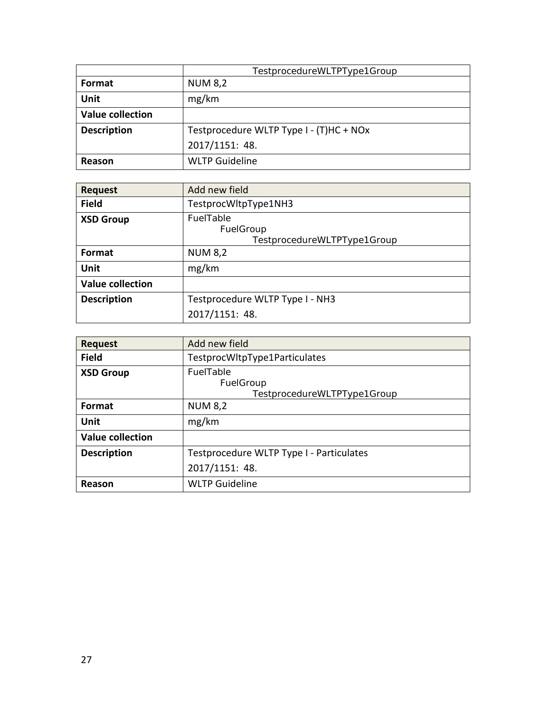|                         | TestprocedureWLTPType1Group             |
|-------------------------|-----------------------------------------|
| Format                  | <b>NUM 8,2</b>                          |
| Unit                    | mg/km                                   |
| <b>Value collection</b> |                                         |
| <b>Description</b>      | Testprocedure WLTP Type I - (T)HC + NOx |
|                         | 2017/1151: 48.                          |
| Reason                  | <b>WLTP Guideline</b>                   |

| <b>Request</b>          | Add new field                                         |
|-------------------------|-------------------------------------------------------|
| <b>Field</b>            | TestprocWltpType1NH3                                  |
| <b>XSD Group</b>        | FuelTable<br>FuelGroup<br>TestprocedureWLTPType1Group |
| <b>Format</b>           | <b>NUM 8,2</b>                                        |
| Unit                    | mg/km                                                 |
| <b>Value collection</b> |                                                       |
| <b>Description</b>      | Testprocedure WLTP Type I - NH3                       |
|                         | 2017/1151: 48.                                        |

| <b>Request</b>          | Add new field                                         |
|-------------------------|-------------------------------------------------------|
| <b>Field</b>            | TestprocWltpType1Particulates                         |
| <b>XSD Group</b>        | FuelTable<br>FuelGroup<br>TestprocedureWLTPType1Group |
| Format                  | <b>NUM 8,2</b>                                        |
| Unit                    | mg/km                                                 |
| <b>Value collection</b> |                                                       |
| <b>Description</b>      | Testprocedure WLTP Type I - Particulates              |
|                         | 2017/1151: 48.                                        |
| Reason                  | <b>WLTP Guideline</b>                                 |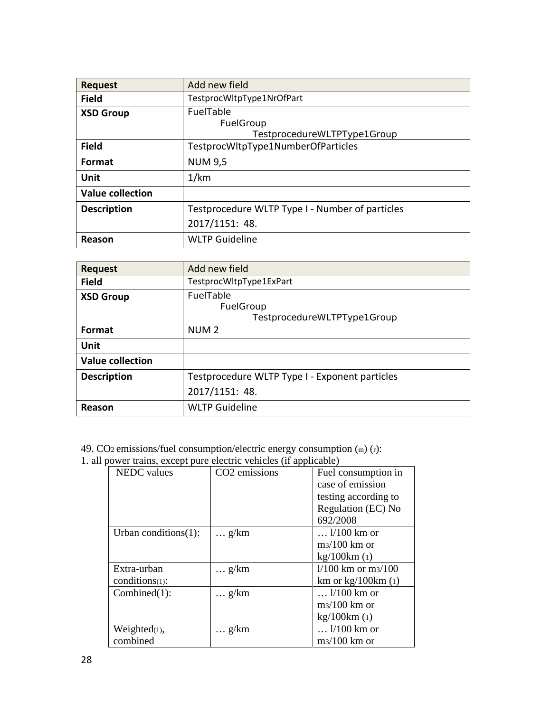| <b>Request</b>          | Add new field                                   |
|-------------------------|-------------------------------------------------|
| <b>Field</b>            | TestprocWltpType1NrOfPart                       |
| <b>XSD Group</b>        | <b>FuelTable</b>                                |
|                         | FuelGroup                                       |
|                         | TestprocedureWLTPType1Group                     |
| <b>Field</b>            | TestprocWltpType1NumberOfParticles              |
| Format                  | <b>NUM 9,5</b>                                  |
| Unit                    | 1/km                                            |
| <b>Value collection</b> |                                                 |
| <b>Description</b>      | Testprocedure WLTP Type I - Number of particles |
|                         | 2017/1151: 48.                                  |
| Reason                  | <b>WLTP Guideline</b>                           |

| <b>Request</b>          | Add new field                                  |
|-------------------------|------------------------------------------------|
| <b>Field</b>            | TestprocWltpType1ExPart                        |
| <b>XSD Group</b>        | FuelTable                                      |
|                         | FuelGroup                                      |
|                         | TestprocedureWLTPType1Group                    |
| <b>Format</b>           | NUM <sub>2</sub>                               |
| Unit                    |                                                |
| <b>Value collection</b> |                                                |
| <b>Description</b>      | Testprocedure WLTP Type I - Exponent particles |
|                         | 2017/1151: 48.                                 |
| Reason                  | <b>WLTP Guideline</b>                          |

49. CO2 emissions/fuel consumption/electric energy consumption (m) (r):

1. all power trains, except pure electric vehicles (if applicable)

| power trains, except pare electric venieres (if applicable) |                           |                      |
|-------------------------------------------------------------|---------------------------|----------------------|
| <b>NEDC</b> values                                          | CO <sub>2</sub> emissions | Fuel consumption in  |
|                                                             |                           | case of emission     |
|                                                             |                           | testing according to |
|                                                             |                           | Regulation (EC) No   |
|                                                             |                           | 692/2008             |
| Urban conditions $(1)$ :                                    | $\ldots$ g/km             | $\ldots$ 1/100 km or |
|                                                             |                           | $m3/100$ km or       |
|                                                             |                           | kg/100km(1)          |
| Extra-urban                                                 | $\ldots$ g/km             | $1/100$ km or m3/100 |
| $conditions(1)$ :                                           |                           | km or $kg/100km$ (1) |
| $Combined(1)$ :                                             | $\ldots$ g/km             | $\ldots$ 1/100 km or |
|                                                             |                           | $m3/100$ km or       |
|                                                             |                           | kg/100km(1)          |
| Weighted(1),                                                | $\ldots$ g/km             | $1/100$ km or        |
| combined                                                    |                           | $m3/100$ km or       |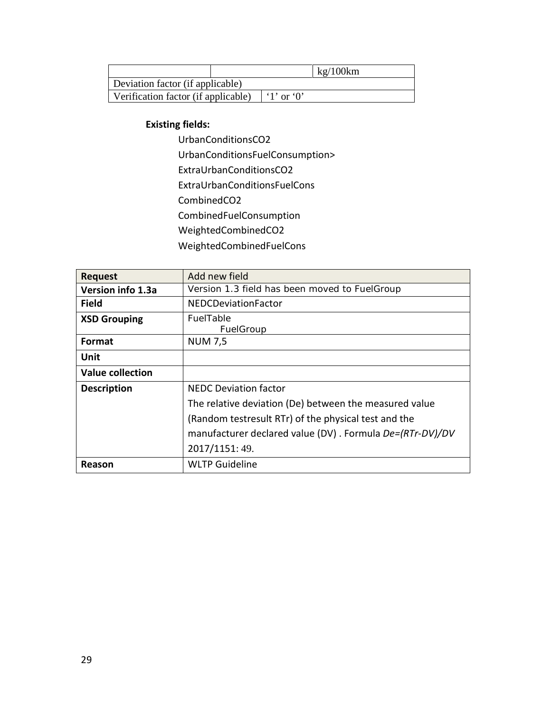|                                     |  |            | kg/100km |
|-------------------------------------|--|------------|----------|
| Deviation factor (if applicable)    |  |            |          |
| Verification factor (if applicable) |  | '1' or '0' |          |

#### **Existing fields:**

UrbanConditionsCO2 UrbanConditionsFuelConsumption> ExtraUrbanConditionsCO2 ExtraUrbanConditionsFuelCons CombinedCO2 CombinedFuelConsumption WeightedCombinedCO2 WeightedCombinedFuelCons

| <b>Request</b>          | Add new field                                            |
|-------------------------|----------------------------------------------------------|
| Version info 1.3a       | Version 1.3 field has been moved to FuelGroup            |
| <b>Field</b>            | NEDCDeviationFactor                                      |
| <b>XSD Grouping</b>     | FuelTable<br>FuelGroup                                   |
| <b>Format</b>           | <b>NUM 7,5</b>                                           |
| Unit                    |                                                          |
| <b>Value collection</b> |                                                          |
| <b>Description</b>      | <b>NEDC Deviation factor</b>                             |
|                         | The relative deviation (De) between the measured value   |
|                         | (Random testresult RTr) of the physical test and the     |
|                         | manufacturer declared value (DV). Formula De=(RTr-DV)/DV |
|                         | 2017/1151: 49.                                           |
| Reason                  | <b>WLTP Guideline</b>                                    |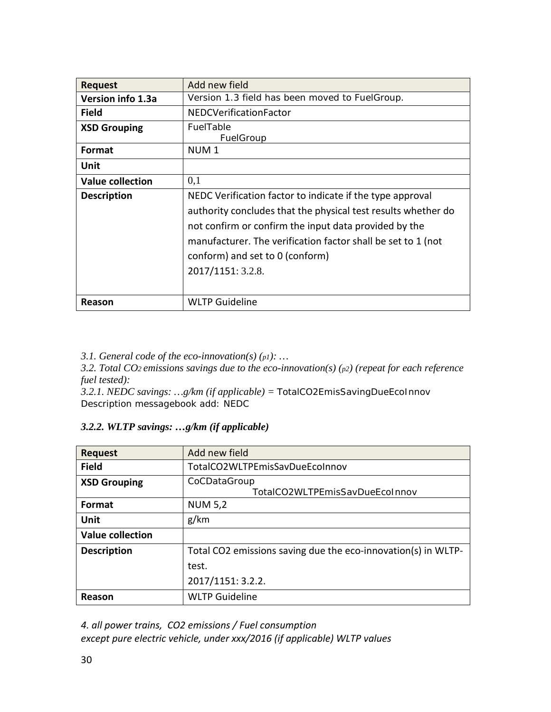| <b>Request</b>          | Add new field                                                                                                                                                                                                                                                                                               |
|-------------------------|-------------------------------------------------------------------------------------------------------------------------------------------------------------------------------------------------------------------------------------------------------------------------------------------------------------|
| Version info 1.3a       | Version 1.3 field has been moved to FuelGroup.                                                                                                                                                                                                                                                              |
| <b>Field</b>            | <b>NEDCVerificationFactor</b>                                                                                                                                                                                                                                                                               |
| <b>XSD Grouping</b>     | FuelTable<br>FuelGroup                                                                                                                                                                                                                                                                                      |
| Format                  | NUM <sub>1</sub>                                                                                                                                                                                                                                                                                            |
| Unit                    |                                                                                                                                                                                                                                                                                                             |
| <b>Value collection</b> | 0,1                                                                                                                                                                                                                                                                                                         |
| <b>Description</b>      | NEDC Verification factor to indicate if the type approval<br>authority concludes that the physical test results whether do<br>not confirm or confirm the input data provided by the<br>manufacturer. The verification factor shall be set to 1 (not<br>conform) and set to 0 (conform)<br>2017/1151: 3.2.8. |
| Reason                  | <b>WLTP Guideline</b>                                                                                                                                                                                                                                                                                       |

*3.1. General code of the eco-innovation(s) (p1): …* 

*3.2. Total CO2 emissions savings due to the eco-innovation(s) (p2) (repeat for each reference fuel tested):* 

*3.2.1. NEDC savings: …g/km (if applicable) =* TotalCO2EmisSavingDueEcoInnov Description messagebook add: NEDC

### *3.2.2. WLTP savings: …g/km (if applicable)*

| <b>Request</b>          | Add new field                                                 |
|-------------------------|---------------------------------------------------------------|
| <b>Field</b>            | TotalCO2WLTPEmisSavDueEcoInnov                                |
| <b>XSD Grouping</b>     | CoCDataGroup<br>TotalCO2WLTPEmisSavDueEcoInnov                |
| <b>Format</b>           | <b>NUM 5,2</b>                                                |
| Unit                    | g/km                                                          |
| <b>Value collection</b> |                                                               |
| <b>Description</b>      | Total CO2 emissions saving due the eco-innovation(s) in WLTP- |
|                         | test.                                                         |
|                         | 2017/1151: 3.2.2.                                             |
| Reason                  | <b>WLTP Guideline</b>                                         |

*4. all power trains, CO2 emissions / Fuel consumption except pure electric vehicle, under xxx/2016 (if applicable) WLTP values*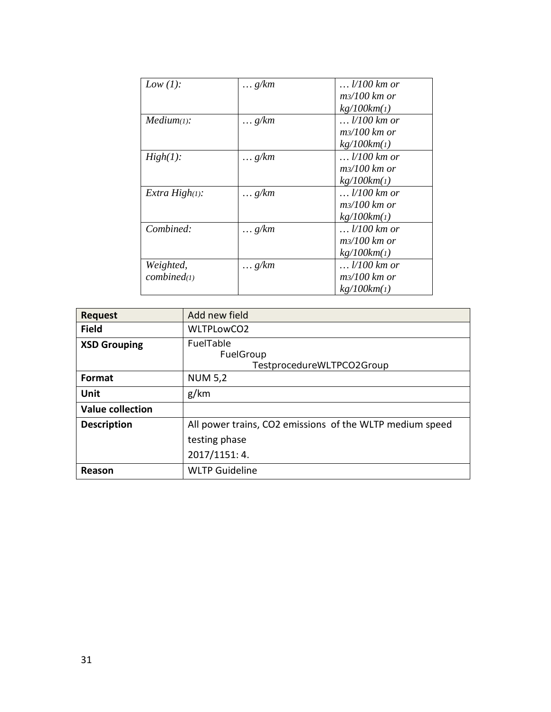| Low $(1)$ :       | $\ldots$ g/km | $\ldots$ 1/100 km or   |
|-------------------|---------------|------------------------|
|                   |               | $m\frac{3}{100}$ km or |
|                   |               | kg/100km(1)            |
| Median(1):        | $\ldots$ g/km | $\ldots$ 1/100 km or   |
|                   |               | $m/100$ km or          |
|                   |               | kg/100km(1)            |
| $High(1)$ :       | $\ldots$ g/km | $\ldots$ 1/100 km or   |
|                   |               | $m\frac{3}{100}$ km or |
|                   |               | kg/100km(1)            |
| Extra $High(1)$ : | $\ldots$ g/km | $\ldots$ 1/100 km or   |
|                   |               | $m\frac{3}{100}$ km or |
|                   |               | kg/100km(1)            |
| Combined:         | $\ldots$ g/km | $\ldots$ $1/100$ km or |
|                   |               | $m/100$ km or          |
|                   |               | kg/100km(1)            |
| Weighted,         | $\ldots$ g/km | $\ldots$ 1/100 km or   |
| combined(1)       |               | m3/100 km or           |
|                   |               | kg/100km(1)            |
|                   |               |                        |

| <b>Request</b>          | Add new field                                              |
|-------------------------|------------------------------------------------------------|
| <b>Field</b>            | WLTPLowCO2                                                 |
| <b>XSD Grouping</b>     | <b>FuelTable</b><br>FuelGroup<br>TestprocedureWLTPCO2Group |
| <b>Format</b>           | <b>NUM 5,2</b>                                             |
| Unit                    | g/km                                                       |
| <b>Value collection</b> |                                                            |
| <b>Description</b>      | All power trains, CO2 emissions of the WLTP medium speed   |
|                         | testing phase                                              |
|                         | 2017/1151: 4.                                              |
| Reason                  | <b>WLTP Guideline</b>                                      |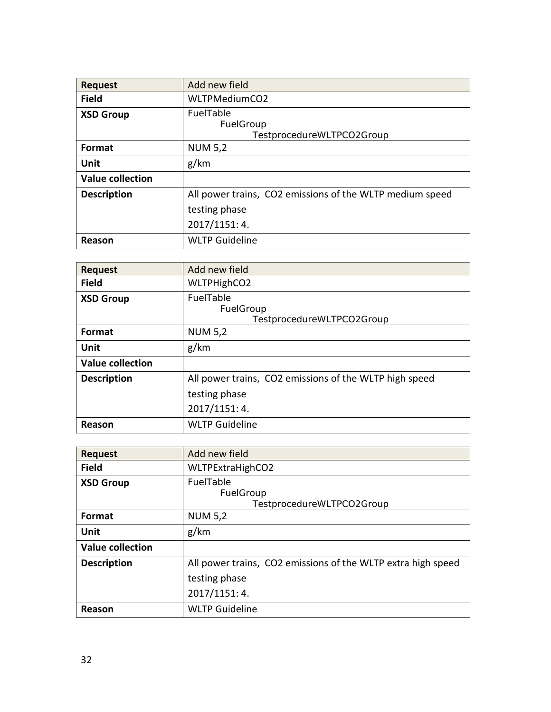| <b>Request</b>          | Add new field                                                                              |
|-------------------------|--------------------------------------------------------------------------------------------|
| <b>Field</b>            | WLTPMediumCO2                                                                              |
| <b>XSD Group</b>        | FuelTable<br>FuelGroup<br>TestprocedureWLTPCO2Group                                        |
| <b>Format</b>           | <b>NUM 5,2</b>                                                                             |
| Unit                    | g/km                                                                                       |
| <b>Value collection</b> |                                                                                            |
| <b>Description</b>      | All power trains, CO2 emissions of the WLTP medium speed<br>testing phase<br>2017/1151: 4. |
| Reason                  | <b>WLTP Guideline</b>                                                                      |

| <b>Request</b>          | Add new field                                                                            |
|-------------------------|------------------------------------------------------------------------------------------|
| <b>Field</b>            | WLTPHighCO2                                                                              |
| <b>XSD Group</b>        | <b>FuelTable</b><br>FuelGroup<br>TestprocedureWLTPCO2Group                               |
| Format                  | <b>NUM 5,2</b>                                                                           |
| Unit                    | g/km                                                                                     |
| <b>Value collection</b> |                                                                                          |
| <b>Description</b>      | All power trains, CO2 emissions of the WLTP high speed<br>testing phase<br>2017/1151: 4. |
| Reason                  | <b>WLTP Guideline</b>                                                                    |

| <b>Request</b>          | Add new field                                                                                  |
|-------------------------|------------------------------------------------------------------------------------------------|
| <b>Field</b>            | WLTPExtraHighCO2                                                                               |
| <b>XSD Group</b>        | FuelTable<br>FuelGroup<br>TestprocedureWLTPCO2Group                                            |
| <b>Format</b>           | <b>NUM 5,2</b>                                                                                 |
| <b>Unit</b>             | g/km                                                                                           |
| <b>Value collection</b> |                                                                                                |
| <b>Description</b>      | All power trains, CO2 emissions of the WLTP extra high speed<br>testing phase<br>2017/1151: 4. |
| Reason                  | <b>WLTP Guideline</b>                                                                          |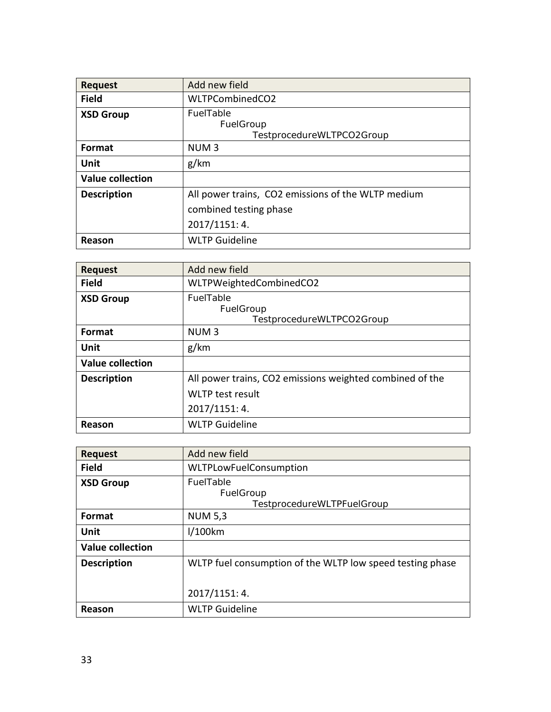| <b>Request</b>          | Add new field                                       |
|-------------------------|-----------------------------------------------------|
| <b>Field</b>            | WLTPCombinedCO2                                     |
| <b>XSD Group</b>        | FuelTable<br>FuelGroup<br>TestprocedureWLTPCO2Group |
| Format                  | NUM <sub>3</sub>                                    |
| Unit                    | g/km                                                |
| <b>Value collection</b> |                                                     |
| <b>Description</b>      | All power trains, CO2 emissions of the WLTP medium  |
|                         | combined testing phase                              |
|                         | 2017/1151: 4.                                       |
| Reason                  | <b>WLTP Guideline</b>                               |

| <b>Request</b>          | Add new field                                              |
|-------------------------|------------------------------------------------------------|
| <b>Field</b>            | WLTPWeightedCombinedCO2                                    |
| <b>XSD Group</b>        | <b>FuelTable</b><br>FuelGroup<br>TestprocedureWLTPCO2Group |
| Format                  | NUM <sub>3</sub>                                           |
| <b>Unit</b>             | g/km                                                       |
| <b>Value collection</b> |                                                            |
| <b>Description</b>      | All power trains, CO2 emissions weighted combined of the   |
|                         | <b>WLTP</b> test result                                    |
|                         | 2017/1151: 4.                                              |
| Reason                  | <b>WLTP Guideline</b>                                      |

| <b>Request</b>          | Add new field                                               |
|-------------------------|-------------------------------------------------------------|
| <b>Field</b>            | <b>WLTPLowFuelConsumption</b>                               |
| <b>XSD Group</b>        | <b>FuelTable</b><br>FuelGroup<br>TestprocedureWLTPFuelGroup |
| Format                  | <b>NUM 5,3</b>                                              |
| Unit                    | 1/100km                                                     |
| <b>Value collection</b> |                                                             |
| <b>Description</b>      | WLTP fuel consumption of the WLTP low speed testing phase   |
|                         | 2017/1151: 4.                                               |
| Reason                  | <b>WLTP Guideline</b>                                       |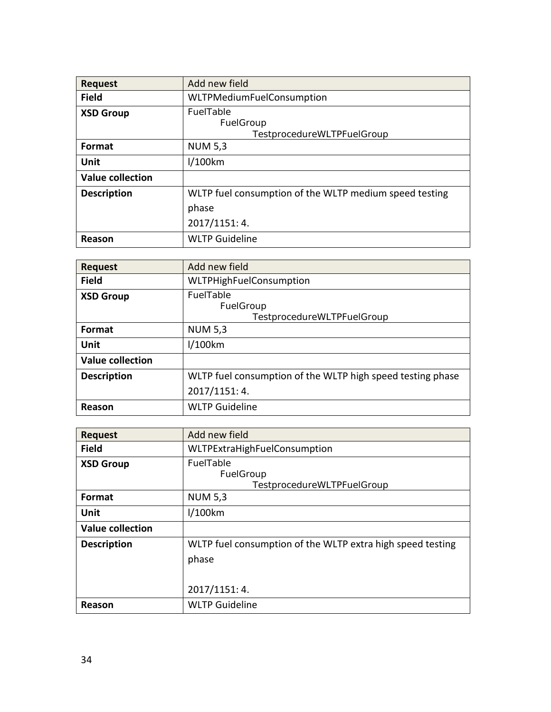| <b>Request</b>          | Add new field                                          |
|-------------------------|--------------------------------------------------------|
| <b>Field</b>            | <b>WLTPMediumFuelConsumption</b>                       |
| <b>XSD Group</b>        | FuelTable                                              |
|                         | FuelGroup                                              |
|                         | TestprocedureWLTPFuelGroup                             |
| <b>Format</b>           | <b>NUM 5,3</b>                                         |
| Unit                    | 1/100km                                                |
| <b>Value collection</b> |                                                        |
| <b>Description</b>      | WLTP fuel consumption of the WLTP medium speed testing |
|                         | phase                                                  |
|                         | 2017/1151: 4.                                          |
| Reason                  | <b>WLTP Guideline</b>                                  |

| <b>Request</b>          | Add new field                                               |
|-------------------------|-------------------------------------------------------------|
| <b>Field</b>            | <b>WLTPHighFuelConsumption</b>                              |
| <b>XSD Group</b>        | <b>FuelTable</b><br>FuelGroup<br>TestprocedureWLTPFuelGroup |
| Format                  | <b>NUM 5,3</b>                                              |
| Unit                    | $1/100$ km                                                  |
| <b>Value collection</b> |                                                             |
| <b>Description</b>      | WLTP fuel consumption of the WLTP high speed testing phase  |
|                         | 2017/1151: 4.                                               |
| Reason                  | <b>WLTP Guideline</b>                                       |

| <b>Request</b>          | Add new field                                                                        |
|-------------------------|--------------------------------------------------------------------------------------|
| <b>Field</b>            | WLTPExtraHighFuelConsumption                                                         |
| <b>XSD Group</b>        | FuelTable<br>FuelGroup<br>TestprocedureWLTPFuelGroup                                 |
| Format                  | <b>NUM 5,3</b>                                                                       |
| Unit                    | 1/100km                                                                              |
| <b>Value collection</b> |                                                                                      |
| <b>Description</b>      | WLTP fuel consumption of the WLTP extra high speed testing<br>phase<br>2017/1151: 4. |
| Reason                  | <b>WLTP Guideline</b>                                                                |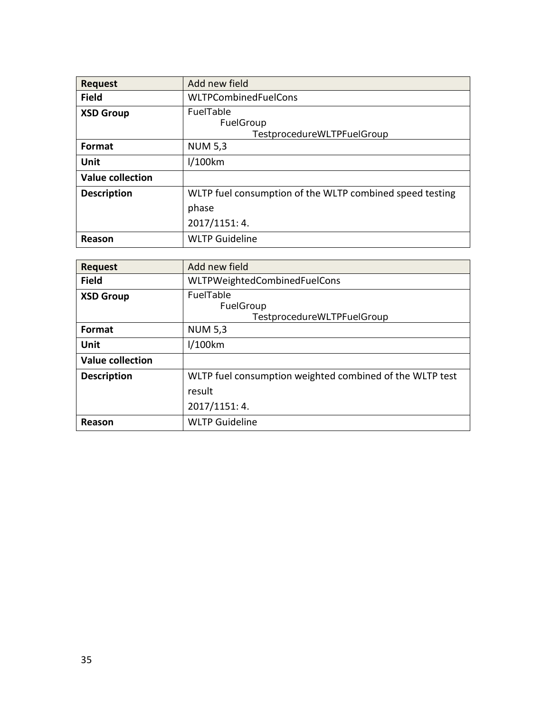| <b>Request</b>          | Add new field                                            |
|-------------------------|----------------------------------------------------------|
| <b>Field</b>            | WLTPCombinedFuelCons                                     |
| <b>XSD Group</b>        | FuelTable<br>FuelGroup                                   |
|                         | TestprocedureWLTPFuelGroup                               |
| Format                  | <b>NUM 5,3</b>                                           |
| Unit                    | $1/100$ km                                               |
| <b>Value collection</b> |                                                          |
| <b>Description</b>      | WLTP fuel consumption of the WLTP combined speed testing |
|                         | phase                                                    |
|                         | 2017/1151: 4.                                            |
| Reason                  | <b>WLTP Guideline</b>                                    |

| <b>Request</b>          | Add new field                                                      |
|-------------------------|--------------------------------------------------------------------|
| <b>Field</b>            | WLTPWeightedCombinedFuelCons                                       |
| <b>XSD Group</b>        | FuelTable<br>FuelGroup<br>TestprocedureWLTPFuelGroup               |
| Format                  | <b>NUM 5,3</b>                                                     |
| Unit                    | I/100km                                                            |
| <b>Value collection</b> |                                                                    |
| <b>Description</b>      | WLTP fuel consumption weighted combined of the WLTP test<br>result |
|                         |                                                                    |
|                         | 2017/1151: 4.                                                      |
| Reason                  | <b>WLTP Guideline</b>                                              |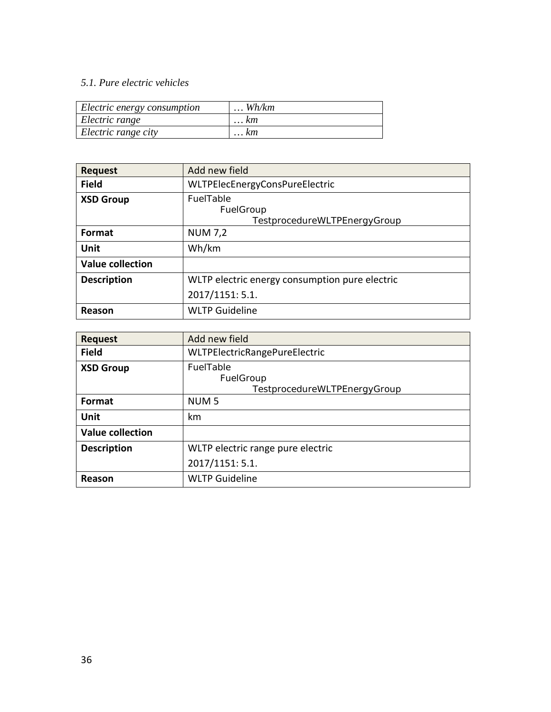### *5.1. Pure electric vehicles*

| Electric energy consumption | $\ldots$ Wh/km |
|-----------------------------|----------------|
| Electric range              | $\ldots$ $km$  |
| Electric range city         | $\ldots$ km    |

| <b>Request</b>          | Add new field                                          |
|-------------------------|--------------------------------------------------------|
| <b>Field</b>            | WLTPElecEnergyConsPureElectric                         |
| <b>XSD Group</b>        | FuelTable<br>FuelGroup<br>TestprocedureWLTPEnergyGroup |
| Format                  | <b>NUM 7,2</b>                                         |
| Unit                    | Wh/km                                                  |
| <b>Value collection</b> |                                                        |
| <b>Description</b>      | WLTP electric energy consumption pure electric         |
|                         | 2017/1151: 5.1.                                        |
| Reason                  | <b>WLTP Guideline</b>                                  |

| <b>Request</b>          | Add new field                                          |
|-------------------------|--------------------------------------------------------|
| <b>Field</b>            | WLTPElectricRangePureElectric                          |
| <b>XSD Group</b>        | FuelTable<br>FuelGroup<br>TestprocedureWLTPEnergyGroup |
| <b>Format</b>           | NUM <sub>5</sub>                                       |
| Unit                    | km                                                     |
| <b>Value collection</b> |                                                        |
| <b>Description</b>      | WLTP electric range pure electric                      |
|                         | 2017/1151: 5.1.                                        |
| Reason                  | <b>WLTP Guideline</b>                                  |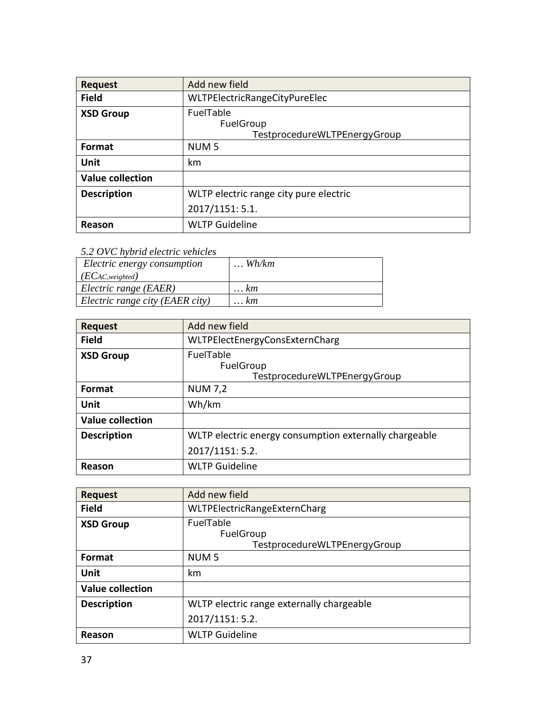| <b>Request</b>          | Add new field                                                 |
|-------------------------|---------------------------------------------------------------|
| <b>Field</b>            | WLTPElectricRangeCityPureElec                                 |
| <b>XSD Group</b>        | <b>FuelTable</b><br>FuelGroup<br>TestprocedureWLTPEnergyGroup |
| Format                  | NUM <sub>5</sub>                                              |
| Unit                    | km                                                            |
| <b>Value collection</b> |                                                               |
| <b>Description</b>      | WLTP electric range city pure electric                        |
|                         | 2017/1151: 5.1.                                               |
| Reason                  | <b>WLTP Guideline</b>                                         |

*5.2 OVC hybrid electric vehicles*

| Electric energy consumption     | $\ldots$ Wh/km |
|---------------------------------|----------------|
| (ECAC, weighted)                |                |
| Electric range (EAER)           | $\ldots$ $km$  |
| Electric range city (EAER city) | <i>km</i>      |

| <b>Request</b>          | Add new field                                          |  |  |
|-------------------------|--------------------------------------------------------|--|--|
| <b>Field</b>            | WLTPElectEnergyConsExternCharg                         |  |  |
| <b>XSD Group</b>        | FuelTable<br>FuelGroup<br>TestprocedureWLTPEnergyGroup |  |  |
| Format                  | <b>NUM 7,2</b>                                         |  |  |
| Unit                    | Wh/km                                                  |  |  |
| <b>Value collection</b> |                                                        |  |  |
| <b>Description</b>      | WLTP electric energy consumption externally chargeable |  |  |
|                         | 2017/1151: 5.2.                                        |  |  |
| Reason                  | <b>WLTP Guideline</b>                                  |  |  |

| <b>Request</b>          | Add new field                                          |
|-------------------------|--------------------------------------------------------|
| <b>Field</b>            | WLTPElectricRangeExternCharg                           |
| <b>XSD Group</b>        | FuelTable<br>FuelGroup<br>TestprocedureWLTPEnergyGroup |
| <b>Format</b>           | NUM <sub>5</sub>                                       |
| Unit                    | km                                                     |
| <b>Value collection</b> |                                                        |
| <b>Description</b>      | WLTP electric range externally chargeable              |
|                         | 2017/1151: 5.2.                                        |
| Reason                  | <b>WLTP Guideline</b>                                  |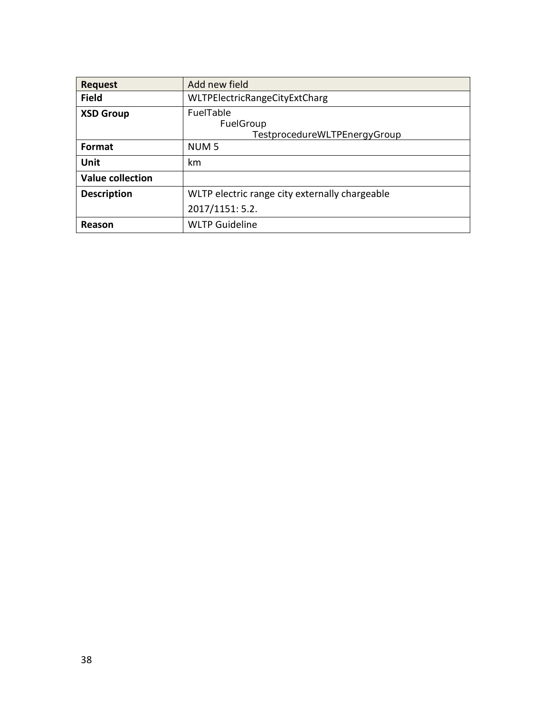| <b>Request</b>          | Add new field                                          |
|-------------------------|--------------------------------------------------------|
| <b>Field</b>            | <b>WLTPElectricRangeCityExtCharg</b>                   |
| <b>XSD Group</b>        | FuelTable<br>FuelGroup<br>TestprocedureWLTPEnergyGroup |
| <b>Format</b>           | NUM <sub>5</sub>                                       |
| Unit                    | km                                                     |
| <b>Value collection</b> |                                                        |
| <b>Description</b>      | WLTP electric range city externally chargeable         |
|                         | 2017/1151: 5.2.                                        |
| Reason                  | <b>WLTP Guideline</b>                                  |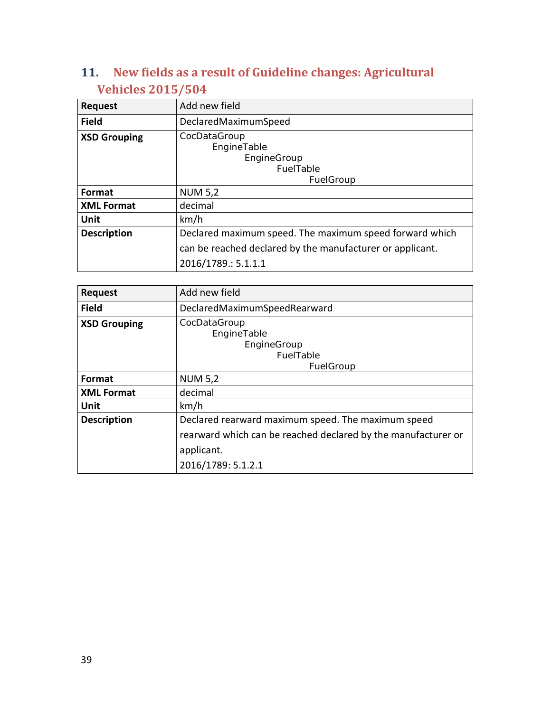# <span id="page-38-0"></span>**11. New fields as a result of Guideline changes: Agricultural Vehicles 2015/504**

| <b>Request</b>      | Add new field                                                                                                                               |  |  |
|---------------------|---------------------------------------------------------------------------------------------------------------------------------------------|--|--|
| <b>Field</b>        | DeclaredMaximumSpeed                                                                                                                        |  |  |
| <b>XSD Grouping</b> | CocDataGroup<br>EngineTable<br>EngineGroup<br><b>FuelTable</b><br>FuelGroup                                                                 |  |  |
| <b>Format</b>       | <b>NUM 5,2</b>                                                                                                                              |  |  |
| <b>XML Format</b>   | decimal                                                                                                                                     |  |  |
| Unit                | km/h                                                                                                                                        |  |  |
| <b>Description</b>  | Declared maximum speed. The maximum speed forward which<br>can be reached declared by the manufacturer or applicant.<br>2016/1789.: 5.1.1.1 |  |  |

| <b>Request</b>      | Add new field                                                                                                                     |  |  |
|---------------------|-----------------------------------------------------------------------------------------------------------------------------------|--|--|
| <b>Field</b>        | DeclaredMaximumSpeedRearward                                                                                                      |  |  |
| <b>XSD Grouping</b> | CocDataGroup<br>EngineTable<br>EngineGroup<br>FuelTable                                                                           |  |  |
| <b>Format</b>       | FuelGroup<br><b>NUM 5,2</b>                                                                                                       |  |  |
| <b>XML Format</b>   | decimal                                                                                                                           |  |  |
| Unit                | km/h                                                                                                                              |  |  |
| <b>Description</b>  | Declared rearward maximum speed. The maximum speed<br>rearward which can be reached declared by the manufacturer or<br>applicant. |  |  |
|                     | 2016/1789: 5.1.2.1                                                                                                                |  |  |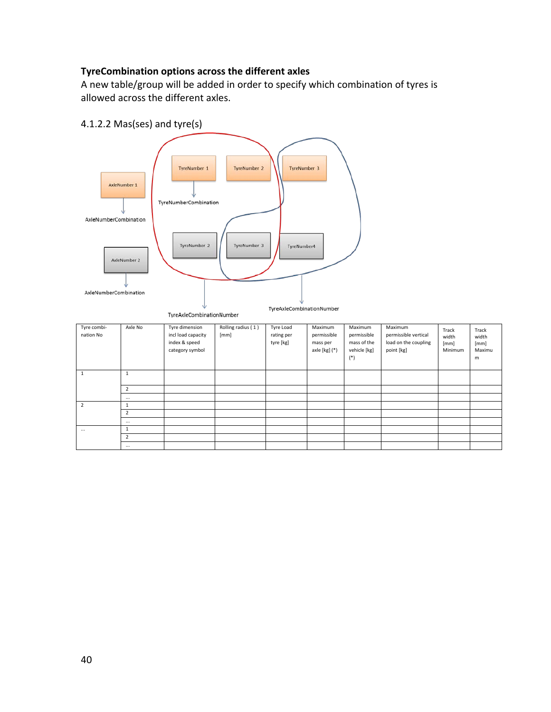### **TyreCombination options across the different axles**

A new table/group will be added in order to specify which combination of tyres is allowed across the different axles.



| Tyre combi-<br>nation No | Axle No        | Tyre dimension<br>incl load capacity<br>index & speed<br>category symbol | Rolling radius (1)<br>[mm] | Tyre Load<br>rating per<br>tyre [kg] | Maximum<br>permissible<br>mass per<br>axle [kg] (*) | Maximum<br>permissible<br>mass of the<br>vehicle [kg]<br>$($ *) | Maximum<br>permissible vertical<br>load on the coupling<br>point [kg] | Track<br>width<br>[mm]<br>Minimum | Track<br>width<br>[mm]<br>Maximu<br>m |
|--------------------------|----------------|--------------------------------------------------------------------------|----------------------------|--------------------------------------|-----------------------------------------------------|-----------------------------------------------------------------|-----------------------------------------------------------------------|-----------------------------------|---------------------------------------|
| 1                        | л              |                                                                          |                            |                                      |                                                     |                                                                 |                                                                       |                                   |                                       |
|                          | $\overline{2}$ |                                                                          |                            |                                      |                                                     |                                                                 |                                                                       |                                   |                                       |
|                          | $\cdots$       |                                                                          |                            |                                      |                                                     |                                                                 |                                                                       |                                   |                                       |
| $\overline{2}$           | 1              |                                                                          |                            |                                      |                                                     |                                                                 |                                                                       |                                   |                                       |
|                          | $\overline{2}$ |                                                                          |                            |                                      |                                                     |                                                                 |                                                                       |                                   |                                       |
|                          | $\cdots$       |                                                                          |                            |                                      |                                                     |                                                                 |                                                                       |                                   |                                       |
| $\cdots$                 | 1              |                                                                          |                            |                                      |                                                     |                                                                 |                                                                       |                                   |                                       |
|                          | $\overline{2}$ |                                                                          |                            |                                      |                                                     |                                                                 |                                                                       |                                   |                                       |
|                          | $\cdots$       |                                                                          |                            |                                      |                                                     |                                                                 |                                                                       |                                   |                                       |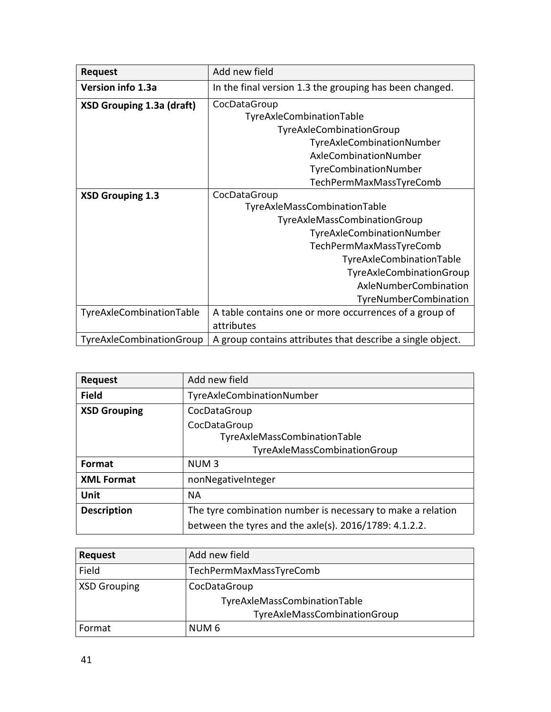| <b>Request</b>                   | Add new field                                              |  |  |  |
|----------------------------------|------------------------------------------------------------|--|--|--|
| Version info 1.3a                | In the final version 1.3 the grouping has been changed.    |  |  |  |
| <b>XSD Grouping 1.3a (draft)</b> | CocDataGroup                                               |  |  |  |
|                                  | TyreAxleCombinationTable                                   |  |  |  |
|                                  | TyreAxleCombinationGroup                                   |  |  |  |
|                                  | TyreAxleCombinationNumber                                  |  |  |  |
|                                  | AxleCombinationNumber                                      |  |  |  |
|                                  | TyreCombinationNumber                                      |  |  |  |
|                                  | TechPermMaxMassTyreComb                                    |  |  |  |
| <b>XSD Grouping 1.3</b>          | CocDataGroup                                               |  |  |  |
|                                  | TyreAxleMassCombinationTable                               |  |  |  |
|                                  | TyreAxleMassCombinationGroup                               |  |  |  |
|                                  | TyreAxleCombinationNumber                                  |  |  |  |
|                                  | TechPermMaxMassTyreComb                                    |  |  |  |
|                                  | TyreAxleCombinationTable                                   |  |  |  |
|                                  | TyreAxleCombinationGroup                                   |  |  |  |
|                                  | AxleNumberCombination                                      |  |  |  |
|                                  | TyreNumberCombination                                      |  |  |  |
| TyreAxleCombinationTable         | A table contains one or more occurrences of a group of     |  |  |  |
|                                  | attributes                                                 |  |  |  |
| TyreAxleCombinationGroup         | A group contains attributes that describe a single object. |  |  |  |

| <b>Request</b>      | Add new field                                               |  |
|---------------------|-------------------------------------------------------------|--|
| <b>Field</b>        | TyreAxleCombinationNumber                                   |  |
| <b>XSD Grouping</b> | CocDataGroup                                                |  |
|                     | CocDataGroup                                                |  |
|                     | TyreAxleMassCombinationTable                                |  |
|                     | TyreAxleMassCombinationGroup                                |  |
| Format              | NUM <sub>3</sub>                                            |  |
| <b>XML Format</b>   | nonNegativeInteger                                          |  |
| Unit                | <b>NA</b>                                                   |  |
| <b>Description</b>  | The tyre combination number is necessary to make a relation |  |
|                     | between the tyres and the axie(s). $2016/1789$ : 4.1.2.2.   |  |

| <b>Request</b>      | Add new field                |
|---------------------|------------------------------|
| Field               | TechPermMaxMassTyreComb      |
| <b>XSD Grouping</b> | CocDataGroup                 |
|                     | TyreAxleMassCombinationTable |
|                     | TyreAxleMassCombinationGroup |
| Format              | NUM <sub>6</sub>             |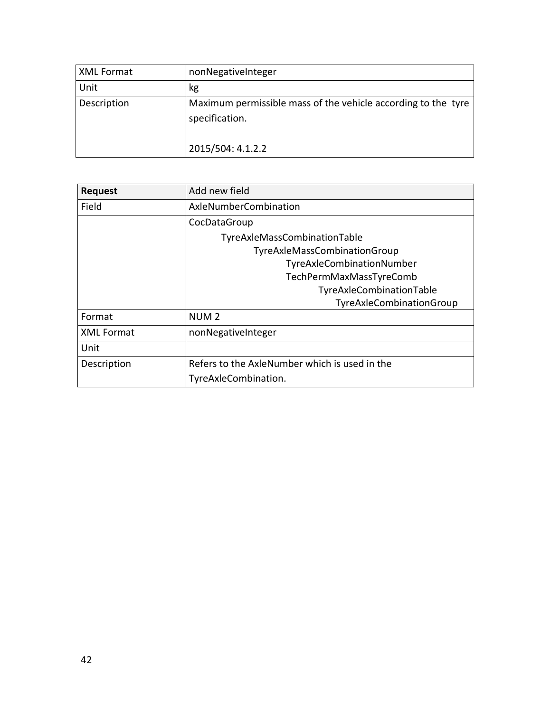| XML Format  | nonNegativeInteger                                                              |
|-------------|---------------------------------------------------------------------------------|
| Unit        | kg                                                                              |
| Description | Maximum permissible mass of the vehicle according to the tyre<br>specification. |
|             | 2015/504: 4.1.2.2                                                               |

| <b>Request</b>    | Add new field                                 |  |  |  |
|-------------------|-----------------------------------------------|--|--|--|
| Field             | AxleNumberCombination                         |  |  |  |
|                   | CocDataGroup                                  |  |  |  |
|                   | TyreAxleMassCombinationTable                  |  |  |  |
|                   | TyreAxleMassCombinationGroup                  |  |  |  |
|                   | TyreAxleCombinationNumber                     |  |  |  |
|                   | TechPermMaxMassTyreComb                       |  |  |  |
|                   | TyreAxleCombinationTable                      |  |  |  |
|                   | TyreAxleCombinationGroup                      |  |  |  |
| Format            | NUM <sub>2</sub>                              |  |  |  |
| <b>XML Format</b> | nonNegativeInteger                            |  |  |  |
| Unit              |                                               |  |  |  |
| Description       | Refers to the AxleNumber which is used in the |  |  |  |
|                   | TyreAxleCombination.                          |  |  |  |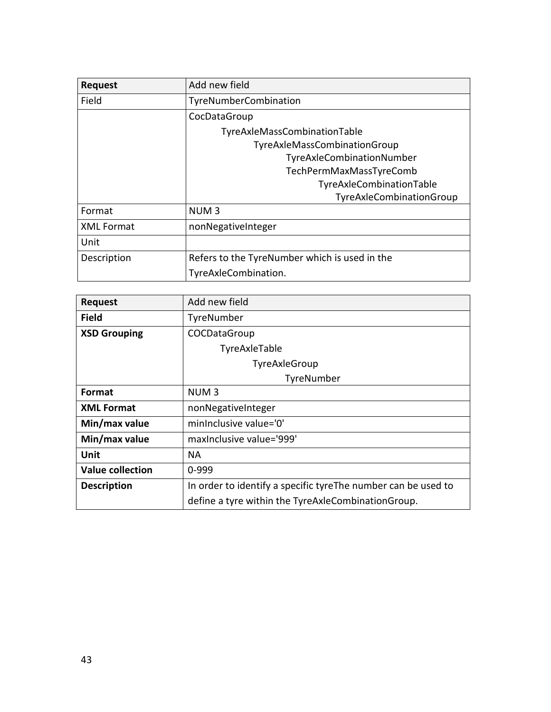| <b>Request</b>    | Add new field                                 |  |  |  |
|-------------------|-----------------------------------------------|--|--|--|
| Field             | TyreNumberCombination                         |  |  |  |
|                   | CocDataGroup                                  |  |  |  |
|                   | TyreAxleMassCombinationTable                  |  |  |  |
|                   | TyreAxleMassCombinationGroup                  |  |  |  |
|                   | TyreAxleCombinationNumber                     |  |  |  |
|                   | TechPermMaxMassTyreComb                       |  |  |  |
|                   | TyreAxleCombinationTable                      |  |  |  |
|                   | TyreAxleCombinationGroup                      |  |  |  |
| Format            | NUM <sub>3</sub>                              |  |  |  |
| <b>XML Format</b> | nonNegativeInteger                            |  |  |  |
| Unit              |                                               |  |  |  |
| Description       | Refers to the TyreNumber which is used in the |  |  |  |
|                   | TyreAxleCombination.                          |  |  |  |

| <b>Request</b>          | Add new field                                                 |
|-------------------------|---------------------------------------------------------------|
| <b>Field</b>            | TyreNumber                                                    |
| <b>XSD Grouping</b>     | COCDataGroup                                                  |
|                         | TyreAxleTable                                                 |
|                         | TyreAxleGroup                                                 |
|                         | TyreNumber                                                    |
| Format                  | NUM <sub>3</sub>                                              |
| <b>XML Format</b>       | nonNegativeInteger                                            |
| Min/max value           | minInclusive value='0'                                        |
| Min/max value           | maxinclusive value='999'                                      |
| Unit                    | NА                                                            |
| <b>Value collection</b> | $0 - 999$                                                     |
| <b>Description</b>      | In order to identify a specific tyreThe number can be used to |
|                         | define a tyre within the TyreAxleCombinationGroup.            |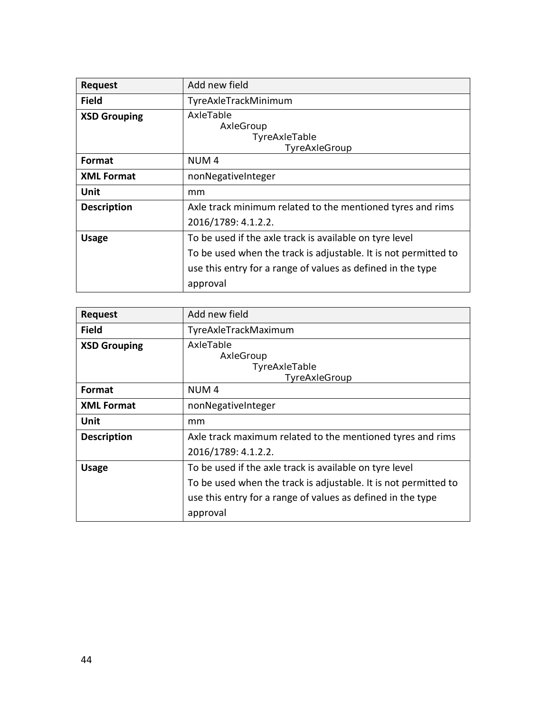| <b>Request</b>      | Add new field                                                   |
|---------------------|-----------------------------------------------------------------|
| <b>Field</b>        | TyreAxleTrackMinimum                                            |
| <b>XSD Grouping</b> | AxleTable<br>AxleGroup<br>TyreAxleTable<br>TyreAxleGroup        |
| Format              | NUM <sub>4</sub>                                                |
| <b>XML Format</b>   | nonNegativeInteger                                              |
| Unit                | mm                                                              |
| <b>Description</b>  | Axle track minimum related to the mentioned tyres and rims      |
|                     | 2016/1789: 4.1.2.2.                                             |
| <b>Usage</b>        | To be used if the axle track is available on tyre level         |
|                     | To be used when the track is adjustable. It is not permitted to |
|                     | use this entry for a range of values as defined in the type     |
|                     | approval                                                        |

| <b>Request</b>      | Add new field                                                                     |
|---------------------|-----------------------------------------------------------------------------------|
| <b>Field</b>        | TyreAxleTrackMaximum                                                              |
| <b>XSD Grouping</b> | AxleTable<br>AxleGroup<br>TyreAxleTable<br>TyreAxleGroup                          |
| Format              | NUM <sub>4</sub>                                                                  |
| <b>XML Format</b>   | nonNegativeInteger                                                                |
| Unit                | mm                                                                                |
| <b>Description</b>  | Axle track maximum related to the mentioned tyres and rims<br>2016/1789: 4.1.2.2. |
| <b>Usage</b>        | To be used if the axle track is available on tyre level                           |
|                     | To be used when the track is adjustable. It is not permitted to                   |
|                     | use this entry for a range of values as defined in the type<br>approval           |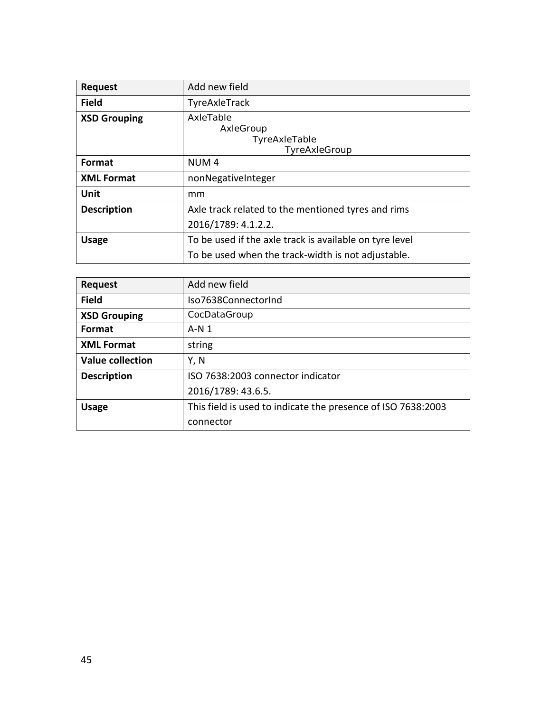| <b>Request</b>      | Add new field                                            |
|---------------------|----------------------------------------------------------|
| <b>Field</b>        | TyreAxleTrack                                            |
| <b>XSD Grouping</b> | AxleTable<br>AxleGroup<br>TyreAxleTable<br>TyreAxleGroup |
| Format              | NUM <sub>4</sub>                                         |
| <b>XML Format</b>   | nonNegativeInteger                                       |
| Unit                | mm                                                       |
| <b>Description</b>  | Axle track related to the mentioned tyres and rims       |
|                     | 2016/1789: 4.1.2.2.                                      |
| <b>Usage</b>        | To be used if the axle track is available on tyre level  |
|                     | To be used when the track-width is not adjustable.       |

| <b>Request</b>          | Add new field                                                |
|-------------------------|--------------------------------------------------------------|
| <b>Field</b>            | Iso7638ConnectorInd                                          |
| <b>XSD Grouping</b>     | CocDataGroup                                                 |
| <b>Format</b>           | $A-N1$                                                       |
| <b>XML Format</b>       | string                                                       |
| <b>Value collection</b> | Y, N                                                         |
| <b>Description</b>      | ISO 7638:2003 connector indicator                            |
|                         | 2016/1789: 43.6.5.                                           |
| <b>Usage</b>            | This field is used to indicate the presence of ISO 7638:2003 |
|                         | connector                                                    |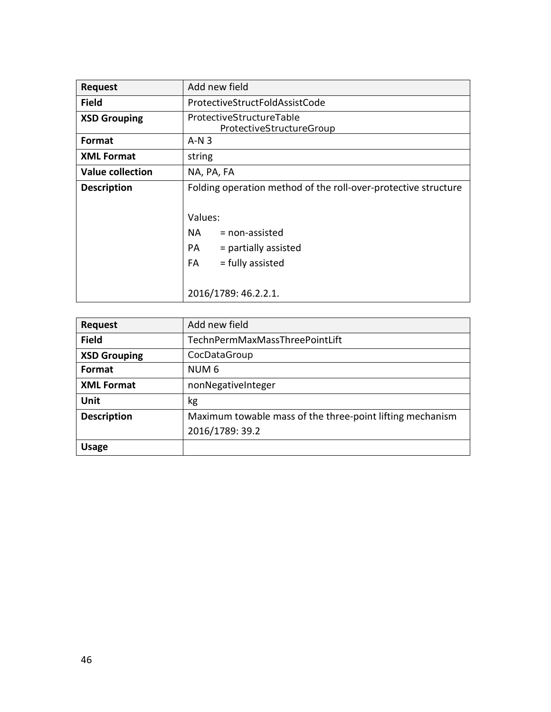| Add new field                                                                                                        |
|----------------------------------------------------------------------------------------------------------------------|
| ProtectiveStructFoldAssistCode                                                                                       |
| ProtectiveStructureTable<br>ProtectiveStructureGroup                                                                 |
| $A-N3$                                                                                                               |
| string                                                                                                               |
| NA, PA, FA                                                                                                           |
| Folding operation method of the roll-over-protective structure                                                       |
| Values:<br>NA.<br>$=$ non-assisted<br>$=$ partially assisted<br>PA<br>= fully assisted<br>FA<br>2016/1789: 46.2.2.1. |
|                                                                                                                      |

| <b>Request</b>      | Add new field                                             |
|---------------------|-----------------------------------------------------------|
| <b>Field</b>        | TechnPermMaxMassThreePointLift                            |
| <b>XSD Grouping</b> | CocDataGroup                                              |
| Format              | NUM <sub>6</sub>                                          |
| <b>XML Format</b>   | nonNegativeInteger                                        |
| Unit                | kg                                                        |
| <b>Description</b>  | Maximum towable mass of the three-point lifting mechanism |
|                     | 2016/1789: 39.2                                           |
| <b>Usage</b>        |                                                           |